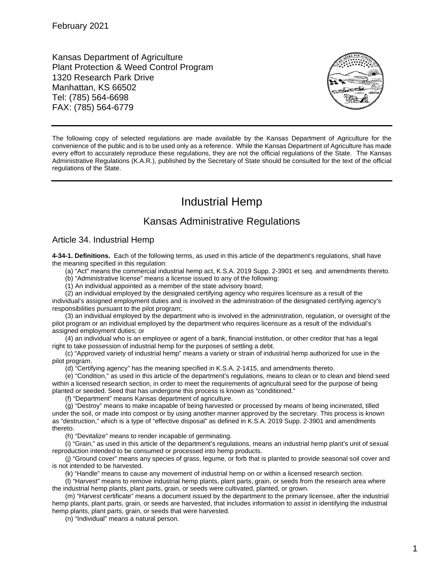Kansas Department of Agriculture Plant Protection & Weed Control Program 1320 Research Park Drive Manhattan, KS 66502 Tel: (785) 564-6698 FAX: (785) 564-6779



The following copy of selected regulations are made available by the Kansas Department of Agriculture for the convenience of the public and is to be used only as a reference. While the Kansas Department of Agriculture has made every effort to accurately reproduce these regulations, they are not the official regulations of the State. The Kansas Administrative Regulations (K.A.R.), published by the Secretary of State should be consulted for the text of the official regulations of the State.

# Industrial Hemp

## Kansas Administrative Regulations

### Article 34. Industrial Hemp

**4-34-1. Definitions.** Each of the following terms, as used in this article of the department's regulations, shall have the meaning specified in this regulation:

(a) "Act" means the commercial industrial hemp act, K.S.A. 2019 Supp. 2-3901 et seq. and amendments thereto.

(b) "Administrative license" means a license issued to any of the following:

(1) An individual appointed as a member of the state advisory board;

(2) an individual employed by the designated certifying agency who requires licensure as a result of the individual's assigned employment duties and is involved in the administration of the designated certifying agency's responsibilities pursuant to the pilot program;

(3) an individual employed by the department who is involved in the administration, regulation, or oversight of the pilot program or an individual employed by the department who requires licensure as a result of the individual's assigned employment duties; or

(4) an individual who is an employee or agent of a bank, financial institution, or other creditor that has a legal right to take possession of industrial hemp for the purposes of settling a debt.

(c) "Approved variety of industrial hemp" means a variety or strain of industrial hemp authorized for use in the pilot program.

(d) "Certifying agency" has the meaning specified in K.S.A. 2-1415, and amendments thereto.

(e) "Condition," as used in this article of the department's regulations, means to clean or to clean and blend seed within a licensed research section, in order to meet the requirements of agricultural seed for the purpose of being planted or seeded. Seed that has undergone this process is known as "conditioned."

(f) "Department" means Kansas department of agriculture.

(g) "Destroy" means to make incapable of being harvested or processed by means of being incinerated, tilled under the soil, or made into compost or by using another manner approved by the secretary. This process is known as "destruction," which is a type of "effective disposal" as defined in K.S.A. 2019 Supp. 2-3901 and amendments thereto.

(h) "Devitalize" means to render incapable of germinating.

(i) "Grain," as used in this article of the department's regulations, means an industrial hemp plant's unit of sexual reproduction intended to be consumed or processed into hemp products.

(j) "Ground cover" means any species of grass, legume, or forb that is planted to provide seasonal soil cover and is not intended to be harvested.

(k) "Handle" means to cause any movement of industrial hemp on or within a licensed research section.

(l) "Harvest" means to remove industrial hemp plants, plant parts, grain, or seeds from the research area where the industrial hemp plants, plant parts, grain, or seeds were cultivated, planted, or grown.

(m) "Harvest certificate" means a document issued by the department to the primary licensee, after the industrial hemp plants, plant parts, grain, or seeds are harvested, that includes information to assist in identifying the industrial hemp plants, plant parts, grain, or seeds that were harvested.

(n) "Individual" means a natural person.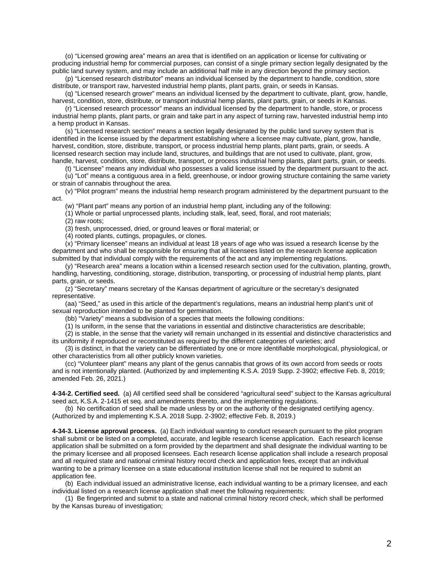(o) "Licensed growing area" means an area that is identified on an application or license for cultivating or producing industrial hemp for commercial purposes, can consist of a single primary section legally designated by the public land survey system, and may include an additional half mile in any direction beyond the primary section.

(p) "Licensed research distributor" means an individual licensed by the department to handle, condition, store distribute, or transport raw, harvested industrial hemp plants, plant parts, grain, or seeds in Kansas.

(q) "Licensed research grower" means an individual licensed by the department to cultivate, plant, grow, handle, harvest, condition, store, distribute, or transport industrial hemp plants, plant parts, grain, or seeds in Kansas.

(r) "Licensed research processor" means an individual licensed by the department to handle, store, or process industrial hemp plants, plant parts, or grain and take part in any aspect of turning raw, harvested industrial hemp into a hemp product in Kansas.

(s) "Licensed research section" means a section legally designated by the public land survey system that is identified in the license issued by the department establishing where a licensee may cultivate, plant, grow, handle, harvest, condition, store, distribute, transport, or process industrial hemp plants, plant parts, grain, or seeds. A licensed research section may include land, structures, and buildings that are not used to cultivate, plant, grow, handle, harvest, condition, store, distribute, transport, or process industrial hemp plants, plant parts, grain, or seeds.

(t) "Licensee" means any individual who possesses a valid license issued by the department pursuant to the act.

(u) "Lot" means a contiguous area in a field, greenhouse, or indoor growing structure containing the same variety or strain of cannabis throughout the area.

(v) "Pilot program" means the industrial hemp research program administered by the department pursuant to the act.

(w) "Plant part" means any portion of an industrial hemp plant, including any of the following:

(1) Whole or partial unprocessed plants, including stalk, leaf, seed, floral, and root materials; (2) raw roots;

(3) fresh, unprocessed, dried, or ground leaves or floral material; or

(4) rooted plants, cuttings, propagules, or clones.

(x) "Primary licensee" means an individual at least 18 years of age who was issued a research license by the department and who shall be responsible for ensuring that all licensees listed on the research license application submitted by that individual comply with the requirements of the act and any implementing regulations.

(y) "Research area" means a location within a licensed research section used for the cultivation, planting, growth, handling, harvesting, conditioning, storage, distribution, transporting, or processing of industrial hemp plants, plant parts, grain, or seeds.

(z) "Secretary" means secretary of the Kansas department of agriculture or the secretary's designated representative.

(aa) "Seed," as used in this article of the department's regulations, means an industrial hemp plant's unit of sexual reproduction intended to be planted for germination.

(bb) "Variety" means a subdivision of a species that meets the following conditions:

(1) Is uniform, in the sense that the variations in essential and distinctive characteristics are describable;

(2) is stable, in the sense that the variety will remain unchanged in its essential and distinctive characteristics and its uniformity if reproduced or reconstituted as required by the different categories of varieties; and

(3) is distinct, in that the variety can be differentiated by one or more identifiable morphological, physiological, or other characteristics from all other publicly known varieties.

(cc) "Volunteer plant" means any plant of the genus cannabis that grows of its own accord from seeds or roots and is not intentionally planted. (Authorized by and implementing K.S.A. 2019 Supp. 2-3902; effective Feb. 8, 2019; amended Feb. 26, 2021.)

**4-34-2. Certified seed.** (a) All certified seed shall be considered "agricultural seed" subject to the Kansas agricultural seed act, K.S.A. 2-1415 et seq. and amendments thereto, and the implementing regulations.

(b) No certification of seed shall be made unless by or on the authority of the designated certifying agency. (Authorized by and implementing K.S.A. 2018 Supp. 2-3902; effective Feb. 8, 2019.)

**4-34-3. License approval process.** (a) Each individual wanting to conduct research pursuant to the pilot program shall submit or be listed on a completed, accurate, and legible research license application. Each research license application shall be submitted on a form provided by the department and shall designate the individual wanting to be the primary licensee and all proposed licensees. Each research license application shall include a research proposal and all required state and national criminal history record check and application fees, except that an individual wanting to be a primary licensee on a state educational institution license shall not be required to submit an application fee.

(b) Each individual issued an administrative license, each individual wanting to be a primary licensee, and each individual listed on a research license application shall meet the following requirements:

(1) Be fingerprinted and submit to a state and national criminal history record check, which shall be performed by the Kansas bureau of investigation;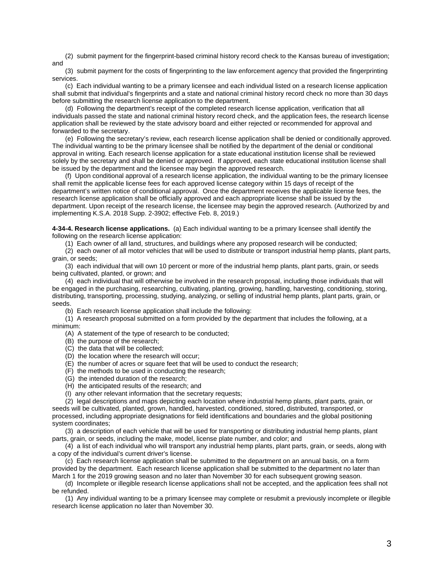(2) submit payment for the fingerprint-based criminal history record check to the Kansas bureau of investigation; and

(3) submit payment for the costs of fingerprinting to the law enforcement agency that provided the fingerprinting services.

(c) Each individual wanting to be a primary licensee and each individual listed on a research license application shall submit that individual's fingerprints and a state and national criminal history record check no more than 30 days before submitting the research license application to the department.

(d) Following the department's receipt of the completed research license application, verification that all individuals passed the state and national criminal history record check, and the application fees, the research license application shall be reviewed by the state advisory board and either rejected or recommended for approval and forwarded to the secretary.

(e) Following the secretary's review, each research license application shall be denied or conditionally approved. The individual wanting to be the primary licensee shall be notified by the department of the denial or conditional approval in writing. Each research license application for a state educational institution license shall be reviewed solely by the secretary and shall be denied or approved. If approved, each state educational institution license shall be issued by the department and the licensee may begin the approved research.

(f) Upon conditional approval of a research license application, the individual wanting to be the primary licensee shall remit the applicable license fees for each approved license category within 15 days of receipt of the department's written notice of conditional approval. Once the department receives the applicable license fees, the research license application shall be officially approved and each appropriate license shall be issued by the department. Upon receipt of the research license, the licensee may begin the approved research. (Authorized by and implementing K.S.A. 2018 Supp. 2-3902; effective Feb. 8, 2019.)

**4-34-4. Research license applications.** (a) Each individual wanting to be a primary licensee shall identify the following on the research license application:

(1) Each owner of all land, structures, and buildings where any proposed research will be conducted;

(2) each owner of all motor vehicles that will be used to distribute or transport industrial hemp plants, plant parts, grain, or seeds;

(3) each individual that will own 10 percent or more of the industrial hemp plants, plant parts, grain, or seeds being cultivated, planted, or grown; and

(4) each individual that will otherwise be involved in the research proposal, including those individuals that will be engaged in the purchasing, researching, cultivating, planting, growing, handling, harvesting, conditioning, storing, distributing, transporting, processing, studying, analyzing, or selling of industrial hemp plants, plant parts, grain, or seeds.

(b) Each research license application shall include the following:

(1) A research proposal submitted on a form provided by the department that includes the following, at a minimum:

(A) A statement of the type of research to be conducted;

- (B) the purpose of the research;
- (C) the data that will be collected;
- (D) the location where the research will occur;
- (E) the number of acres or square feet that will be used to conduct the research;
- (F) the methods to be used in conducting the research;
- (G) the intended duration of the research;
- (H) the anticipated results of the research; and
- (I) any other relevant information that the secretary requests;

(2) legal descriptions and maps depicting each location where industrial hemp plants, plant parts, grain, or seeds will be cultivated, planted, grown, handled, harvested, conditioned, stored, distributed, transported, or processed, including appropriate designations for field identifications and boundaries and the global positioning system coordinates;

(3) a description of each vehicle that will be used for transporting or distributing industrial hemp plants, plant parts, grain, or seeds, including the make, model, license plate number, and color; and

(4) a list of each individual who will transport any industrial hemp plants, plant parts, grain, or seeds, along with a copy of the individual's current driver's license.

(c) Each research license application shall be submitted to the department on an annual basis, on a form provided by the department. Each research license application shall be submitted to the department no later than March 1 for the 2019 growing season and no later than November 30 for each subsequent growing season.

(d) Incomplete or illegible research license applications shall not be accepted, and the application fees shall not be refunded.

(1) Any individual wanting to be a primary licensee may complete or resubmit a previously incomplete or illegible research license application no later than November 30.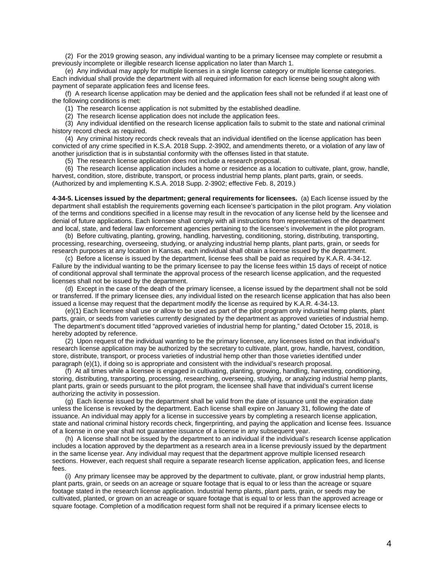(2) For the 2019 growing season, any individual wanting to be a primary licensee may complete or resubmit a previously incomplete or illegible research license application no later than March 1.

(e) Any individual may apply for multiple licenses in a single license category or multiple license categories. Each individual shall provide the department with all required information for each license being sought along with payment of separate application fees and license fees.

(f) A research license application may be denied and the application fees shall not be refunded if at least one of the following conditions is met:

(1) The research license application is not submitted by the established deadline.

(2) The research license application does not include the application fees.

(3) Any individual identified on the research license application fails to submit to the state and national criminal history record check as required.

(4) Any criminal history records check reveals that an individual identified on the license application has been convicted of any crime specified in K.S.A. 2018 Supp. 2-3902, and amendments thereto, or a violation of any law of another jurisdiction that is in substantial conformity with the offenses listed in that statute.

(5) The research license application does not include a research proposal.

(6) The research license application includes a home or residence as a location to cultivate, plant, grow, handle, harvest, condition, store, distribute, transport, or process industrial hemp plants, plant parts, grain, or seeds. (Authorized by and implementing K.S.A. 2018 Supp. 2-3902; effective Feb. 8, 2019.)

**4-34-5. Licenses issued by the department; general requirements for licensees.** (a) Each license issued by the department shall establish the requirements governing each licensee's participation in the pilot program. Any violation of the terms and conditions specified in a license may result in the revocation of any license held by the licensee and denial of future applications. Each licensee shall comply with all instructions from representatives of the department and local, state, and federal law enforcement agencies pertaining to the licensee's involvement in the pilot program.

(b) Before cultivating, planting, growing, handling, harvesting, conditioning, storing, distributing, transporting, processing, researching, overseeing, studying, or analyzing industrial hemp plants, plant parts, grain, or seeds for research purposes at any location in Kansas, each individual shall obtain a license issued by the department.

(c) Before a license is issued by the department, license fees shall be paid as required by K.A.R. 4-34-12. Failure by the individual wanting to be the primary licensee to pay the license fees within 15 days of receipt of notice of conditional approval shall terminate the approval process of the research license application, and the requested licenses shall not be issued by the department.

(d) Except in the case of the death of the primary licensee, a license issued by the department shall not be sold or transferred. If the primary licensee dies, any individual listed on the research license application that has also been issued a license may request that the department modify the license as required by K.A.R. 4-34-13.

(e)(1) Each licensee shall use or allow to be used as part of the pilot program only industrial hemp plants, plant parts, grain, or seeds from varieties currently designated by the department as approved varieties of industrial hemp. The department's document titled "approved varieties of industrial hemp for planting," dated October 15, 2018, is hereby adopted by reference.

(2) Upon request of the individual wanting to be the primary licensee, any licensees listed on that individual's research license application may be authorized by the secretary to cultivate, plant, grow, handle, harvest, condition, store, distribute, transport, or process varieties of industrial hemp other than those varieties identified under paragraph (e)(1), if doing so is appropriate and consistent with the individual's research proposal.

(f) At all times while a licensee is engaged in cultivating, planting, growing, handling, harvesting, conditioning, storing, distributing, transporting, processing, researching, overseeing, studying, or analyzing industrial hemp plants, plant parts, grain or seeds pursuant to the pilot program, the licensee shall have that individual's current license authorizing the activity in possession.

(g) Each license issued by the department shall be valid from the date of issuance until the expiration date unless the license is revoked by the department. Each license shall expire on January 31, following the date of issuance. An individual may apply for a license in successive years by completing a research license application, state and national criminal history records check, fingerprinting, and paying the application and license fees. Issuance of a license in one year shall not guarantee issuance of a license in any subsequent year.

(h) A license shall not be issued by the department to an individual if the individual's research license application includes a location approved by the department as a research area in a license previously issued by the department in the same license year. Any individual may request that the department approve multiple licensed research sections. However, each request shall require a separate research license application, application fees, and license fees.

(i) Any primary licensee may be approved by the department to cultivate, plant, or grow industrial hemp plants, plant parts, grain, or seeds on an acreage or square footage that is equal to or less than the acreage or square footage stated in the research license application. Industrial hemp plants, plant parts, grain, or seeds may be cultivated, planted, or grown on an acreage or square footage that is equal to or less than the approved acreage or square footage. Completion of a modification request form shall not be required if a primary licensee elects to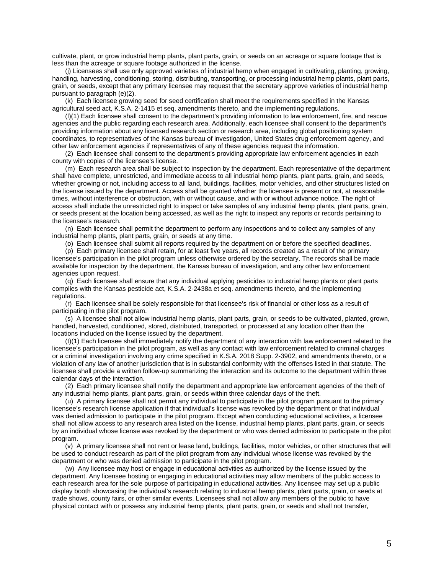cultivate, plant, or grow industrial hemp plants, plant parts, grain, or seeds on an acreage or square footage that is less than the acreage or square footage authorized in the license.

(j) Licensees shall use only approved varieties of industrial hemp when engaged in cultivating, planting, growing, handling, harvesting, conditioning, storing, distributing, transporting, or processing industrial hemp plants, plant parts, grain, or seeds, except that any primary licensee may request that the secretary approve varieties of industrial hemp pursuant to paragraph (e)(2).

(k) Each licensee growing seed for seed certification shall meet the requirements specified in the Kansas agricultural seed act, K.S.A. 2-1415 et seq. amendments thereto, and the implementing regulations.

(l)(1) Each licensee shall consent to the department's providing information to law enforcement, fire, and rescue agencies and the public regarding each research area. Additionally, each licensee shall consent to the department's providing information about any licensed research section or research area, including global positioning system coordinates, to representatives of the Kansas bureau of investigation, United States drug enforcement agency, and other law enforcement agencies if representatives of any of these agencies request the information.

(2) Each licensee shall consent to the department's providing appropriate law enforcement agencies in each county with copies of the licensee's license.

(m) Each research area shall be subject to inspection by the department. Each representative of the department shall have complete, unrestricted, and immediate access to all industrial hemp plants, plant parts, grain, and seeds, whether growing or not, including access to all land, buildings, facilities, motor vehicles, and other structures listed on the license issued by the department. Access shall be granted whether the licensee is present or not, at reasonable times, without interference or obstruction, with or without cause, and with or without advance notice. The right of access shall include the unrestricted right to inspect or take samples of any industrial hemp plants, plant parts, grain, or seeds present at the location being accessed, as well as the right to inspect any reports or records pertaining to the licensee's research.

(n) Each licensee shall permit the department to perform any inspections and to collect any samples of any industrial hemp plants, plant parts, grain, or seeds at any time.

(o) Each licensee shall submit all reports required by the department on or before the specified deadlines.

(p) Each primary licensee shall retain, for at least five years, all records created as a result of the primary licensee's participation in the pilot program unless otherwise ordered by the secretary. The records shall be made available for inspection by the department, the Kansas bureau of investigation, and any other law enforcement agencies upon request.

(q) Each licensee shall ensure that any individual applying pesticides to industrial hemp plants or plant parts complies with the Kansas pesticide act, K.S.A. 2-2438a et seq. amendments thereto, and the implementing regulations.

(r) Each licensee shall be solely responsible for that licensee's risk of financial or other loss as a result of participating in the pilot program.

(s) A licensee shall not allow industrial hemp plants, plant parts, grain, or seeds to be cultivated, planted, grown, handled, harvested, conditioned, stored, distributed, transported, or processed at any location other than the locations included on the license issued by the department.

(t)(1) Each licensee shall immediately notify the department of any interaction with law enforcement related to the licensee's participation in the pilot program, as well as any contact with law enforcement related to criminal charges or a criminal investigation involving any crime specified in K.S.A. 2018 Supp. 2-3902, and amendments thereto, or a violation of any law of another jurisdiction that is in substantial conformity with the offenses listed in that statute. The licensee shall provide a written follow-up summarizing the interaction and its outcome to the department within three calendar days of the interaction.

(2) Each primary licensee shall notify the department and appropriate law enforcement agencies of the theft of any industrial hemp plants, plant parts, grain, or seeds within three calendar days of the theft.

(u) A primary licensee shall not permit any individual to participate in the pilot program pursuant to the primary licensee's research license application if that individual's license was revoked by the department or that individual was denied admission to participate in the pilot program. Except when conducting educational activities, a licensee shall not allow access to any research area listed on the license, industrial hemp plants, plant parts, grain, or seeds by an individual whose license was revoked by the department or who was denied admission to participate in the pilot program.

(v) A primary licensee shall not rent or lease land, buildings, facilities, motor vehicles, or other structures that will be used to conduct research as part of the pilot program from any individual whose license was revoked by the department or who was denied admission to participate in the pilot program.

(w) Any licensee may host or engage in educational activities as authorized by the license issued by the department. Any licensee hosting or engaging in educational activities may allow members of the public access to each research area for the sole purpose of participating in educational activities. Any licensee may set up a public display booth showcasing the individual's research relating to industrial hemp plants, plant parts, grain, or seeds at trade shows, county fairs, or other similar events. Licensees shall not allow any members of the public to have physical contact with or possess any industrial hemp plants, plant parts, grain, or seeds and shall not transfer,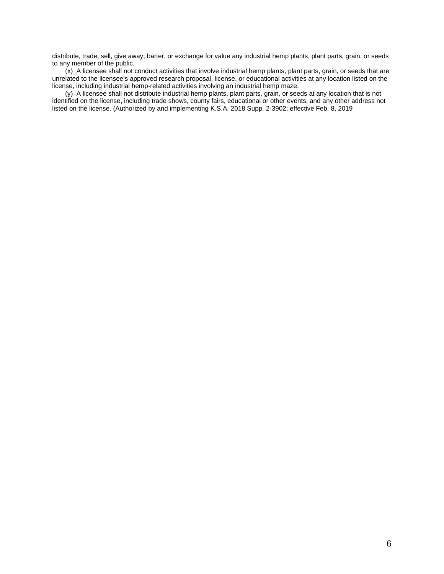distribute, trade, sell, give away, barter, or exchange for value any industrial hemp plants, plant parts, grain, or seeds to any member of the public.

(x) A licensee shall not conduct activities that involve industrial hemp plants, plant parts, grain, or seeds that are unrelated to the licensee's approved research proposal, license, or educational activities at any location listed on the license, including industrial hemp-related activities involving an industrial hemp maze.

(y) A licensee shall not distribute industrial hemp plants, plant parts, grain, or seeds at any location that is not identified on the license, including trade shows, county fairs, educational or other events, and any other address not listed on the license. (Authorized by and implementing K.S.A. 2018 Supp. 2-3902; effective Feb. 8, 2019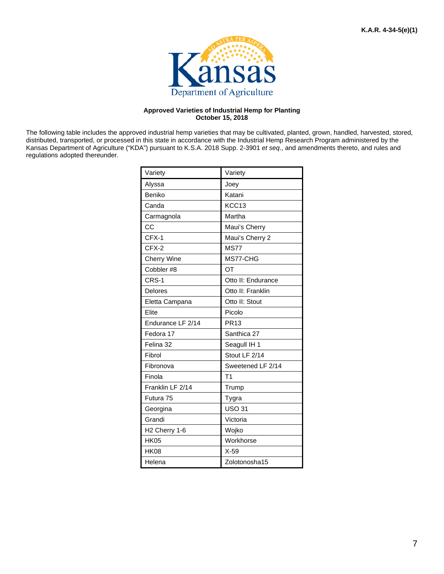

#### **Approved Varieties of Industrial Hemp for Planting October 15, 2018**

The following table includes the approved industrial hemp varieties that may be cultivated, planted, grown, handled, harvested, stored, distributed, transported, or processed in this state in accordance with the Industrial Hemp Research Program administered by the Kansas Department of Agriculture ("KDA") pursuant to K.S.A. 2018 Supp. 2-3901 *et seq*., and amendments thereto, and rules and regulations adopted thereunder.

| Variety            | Variety            |
|--------------------|--------------------|
| Alyssa             | Joey               |
| Beniko             | Katani             |
| Canda              | KCC13              |
| Carmagnola         | Martha             |
| CC                 | Maui's Cherry      |
| $CFX-1$            | Maui's Cherry 2    |
| $CFX-2$            | <b>MS77</b>        |
| <b>Cherry Wine</b> | MS77-CHG           |
| Cobbler#8          | OT                 |
| CRS-1              | Otto II: Endurance |
| <b>Delores</b>     | Otto II: Franklin  |
| Eletta Campana     | Otto II: Stout     |
| Elite              | Picolo             |
| Endurance LF 2/14  | <b>PR13</b>        |
| Fedora 17          | Santhica 27        |
| Felina 32          | Seagull IH 1       |
| Fibrol             | Stout LF 2/14      |
| Fibronova          | Sweetened LF 2/14  |
| Finola             | T1                 |
| Franklin LF 2/14   | Trump              |
| Futura 75          | Tygra              |
| Georgina           | <b>USO 31</b>      |
| Grandi             | Victoria           |
| H2 Cherry 1-6      | Wojko              |
| <b>HK05</b>        | Workhorse          |
| <b>HK08</b>        | $X-59$             |
| Helena             | Zolotonosha15      |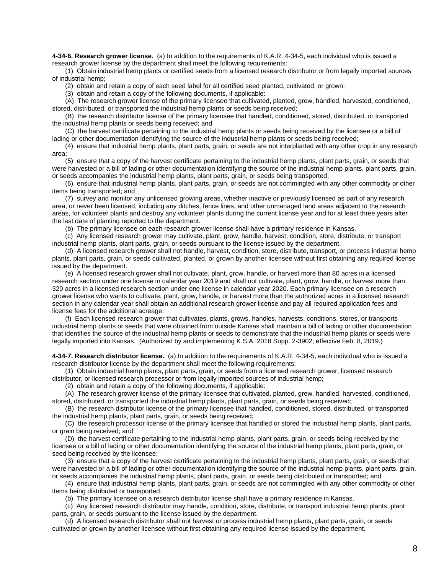**4-34-6. Research grower license.** (a) In addition to the requirements of K.A.R. 4-34-5, each individual who is issued a research grower license by the department shall meet the following requirements:

(1) Obtain industrial hemp plants or certified seeds from a licensed research distributor or from legally imported sources of industrial hemp;

(2) obtain and retain a copy of each seed label for all certified seed planted, cultivated, or grown;

(3) obtain and retain a copy of the following documents, if applicable:

(A) The research grower license of the primary licensee that cultivated, planted, grew, handled, harvested, conditioned, stored, distributed, or transported the industrial hemp plants or seeds being received;

(B) the research distributor license of the primary licensee that handled, conditioned, stored, distributed, or transported the industrial hemp plants or seeds being received; and

(C) the harvest certificate pertaining to the industrial hemp plants or seeds being received by the licensee or a bill of lading or other documentation identifying the source of the industrial hemp plants or seeds being received;

(4) ensure that industrial hemp plants, plant parts, grain, or seeds are not interplanted with any other crop in any research area;

(5) ensure that a copy of the harvest certificate pertaining to the industrial hemp plants, plant parts, grain, or seeds that were harvested or a bill of lading or other documentation identifying the source of the industrial hemp plants, plant parts, grain, or seeds accompanies the industrial hemp plants, plant parts, grain, or seeds being transported;

(6) ensure that industrial hemp plants, plant parts, grain, or seeds are not commingled with any other commodity or other items being transported; and

(7) survey and monitor any unlicensed growing areas, whether inactive or previously licensed as part of any research area, or never been licensed, including any ditches, fence lines, and other unmanaged land areas adjacent to the research areas, for volunteer plants and destroy any volunteer plants during the current license year and for at least three years after the last date of planting reported to the department.

(b) The primary licensee on each research grower license shall have a primary residence in Kansas.

(c) Any licensed research grower may cultivate, plant, grow, handle, harvest, condition, store, distribute, or transport industrial hemp plants, plant parts, grain, or seeds pursuant to the license issued by the department.

(d) A licensed research grower shall not handle, harvest, condition, store, distribute, transport, or process industrial hemp plants, plant parts, grain, or seeds cultivated, planted, or grown by another licensee without first obtaining any required license issued by the department.

(e) A licensed research grower shall not cultivate, plant, grow, handle, or harvest more than 80 acres in a licensed research section under one license in calendar year 2019 and shall not cultivate, plant, grow, handle, or harvest more than 320 acres in a licensed research section under one license in calendar year 2020. Each primary licensee on a research grower license who wants to cultivate, plant, grow, handle, or harvest more than the authorized acres in a licensed research section in any calendar year shall obtain an additional research grower license and pay all required application fees and license fees for the additional acreage.

(f) Each licensed research grower that cultivates, plants, grows, handles, harvests, conditions, stores, or transports industrial hemp plants or seeds that were obtained from outside Kansas shall maintain a bill of lading or other documentation that identifies the source of the industrial hemp plants or seeds to demonstrate that the industrial hemp plants or seeds were legally imported into Kansas. (Authorized by and implementing K.S.A. 2018 Supp. 2-3902; effective Feb. 8, 2019.)

**4-34-7. Research distributor license.** (a) In addition to the requirements of K.A.R. 4-34-5, each individual who is issued a research distributor license by the department shall meet the following requirements:

(1) Obtain industrial hemp plants, plant parts, grain, or seeds from a licensed research grower, licensed research distributor, or licensed research processor or from legally imported sources of industrial hemp;

(2) obtain and retain a copy of the following documents, if applicable:

(A) The research grower license of the primary licensee that cultivated, planted, grew, handled, harvested, conditioned, stored, distributed, or transported the industrial hemp plants, plant parts, grain, or seeds being received;

(B) the research distributor license of the primary licensee that handled, conditioned, stored, distributed, or transported the industrial hemp plants, plant parts, grain, or seeds being received;

(C) the research processor license of the primary licensee that handled or stored the industrial hemp plants, plant parts, or grain being received; and

(D) the harvest certificate pertaining to the industrial hemp plants, plant parts, grain, or seeds being received by the licensee or a bill of lading or other documentation identifying the source of the industrial hemp plants, plant parts, grain, or seed being received by the licensee;

(3) ensure that a copy of the harvest certificate pertaining to the industrial hemp plants, plant parts, grain, or seeds that were harvested or a bill of lading or other documentation identifying the source of the industrial hemp plants, plant parts, grain, or seeds accompanies the industrial hemp plants, plant parts, grain, or seeds being distributed or transported; and

(4) ensure that industrial hemp plants, plant parts, grain, or seeds are not commingled with any other commodity or other items being distributed or transported.

(b) The primary licensee on a research distributor license shall have a primary residence in Kansas.

(c) Any licensed research distributor may handle, condition, store, distribute, or transport industrial hemp plants, plant parts, grain, or seeds pursuant to the license issued by the department.

(d) A licensed research distributor shall not harvest or process industrial hemp plants, plant parts, grain, or seeds cultivated or grown by another licensee without first obtaining any required license issued by the department.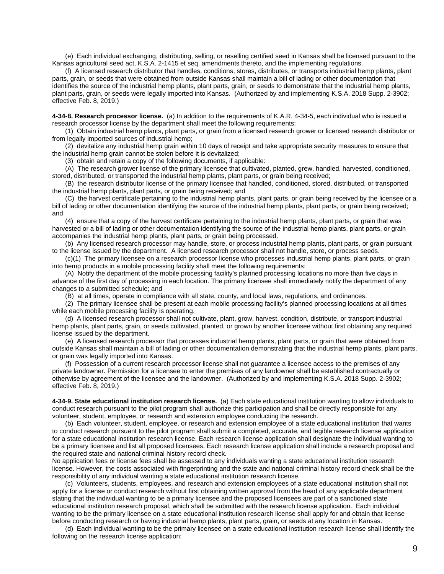(e) Each individual exchanging, distributing, selling, or reselling certified seed in Kansas shall be licensed pursuant to the Kansas agricultural seed act, K.S.A. 2-1415 et seq. amendments thereto, and the implementing regulations.

(f) A licensed research distributor that handles, conditions, stores, distributes, or transports industrial hemp plants, plant parts, grain, or seeds that were obtained from outside Kansas shall maintain a bill of lading or other documentation that identifies the source of the industrial hemp plants, plant parts, grain, or seeds to demonstrate that the industrial hemp plants, plant parts, grain, or seeds were legally imported into Kansas. (Authorized by and implementing K.S.A. 2018 Supp. 2-3902; effective Feb. 8, 2019.)

**4-34-8. Research processor license.** (a) In addition to the requirements of K.A.R. 4-34-5, each individual who is issued a research processor license by the department shall meet the following requirements:

(1) Obtain industrial hemp plants, plant parts, or grain from a licensed research grower or licensed research distributor or from legally imported sources of industrial hemp;

(2) devitalize any industrial hemp grain within 10 days of receipt and take appropriate security measures to ensure that the industrial hemp grain cannot be stolen before it is devitalized;

(3) obtain and retain a copy of the following documents, if applicable:

(A) The research grower license of the primary licensee that cultivated, planted, grew, handled, harvested, conditioned, stored, distributed, or transported the industrial hemp plants, plant parts, or grain being received;

(B) the research distributor license of the primary licensee that handled, conditioned, stored, distributed, or transported the industrial hemp plants, plant parts, or grain being received; and

(C) the harvest certificate pertaining to the industrial hemp plants, plant parts, or grain being received by the licensee or a bill of lading or other documentation identifying the source of the industrial hemp plants, plant parts, or grain being received; and

(4) ensure that a copy of the harvest certificate pertaining to the industrial hemp plants, plant parts, or grain that was harvested or a bill of lading or other documentation identifying the source of the industrial hemp plants, plant parts, or grain accompanies the industrial hemp plants, plant parts, or grain being processed.

(b) Any licensed research processor may handle, store, or process industrial hemp plants, plant parts, or grain pursuant to the license issued by the department. A licensed research processor shall not handle, store, or process seeds.

(c)(1) The primary licensee on a research processor license who processes industrial hemp plants, plant parts, or grain into hemp products in a mobile processing facility shall meet the following requirements:

(A) Notify the department of the mobile processing facility's planned processing locations no more than five days in advance of the first day of processing in each location. The primary licensee shall immediately notify the department of any changes to a submitted schedule; and

(B) at all times, operate in compliance with all state, county, and local laws, regulations, and ordinances.

(2) The primary licensee shall be present at each mobile processing facility's planned processing locations at all times while each mobile processing facility is operating.

(d) A licensed research processor shall not cultivate, plant, grow, harvest, condition, distribute, or transport industrial hemp plants, plant parts, grain, or seeds cultivated, planted, or grown by another licensee without first obtaining any required license issued by the department.

(e) A licensed research processor that processes industrial hemp plants, plant parts, or grain that were obtained from outside Kansas shall maintain a bill of lading or other documentation demonstrating that the industrial hemp plants, plant parts, or grain was legally imported into Kansas.

(f) Possession of a current research processor license shall not guarantee a licensee access to the premises of any private landowner. Permission for a licensee to enter the premises of any landowner shall be established contractually or otherwise by agreement of the licensee and the landowner. (Authorized by and implementing K.S.A. 2018 Supp. 2-3902; effective Feb. 8, 2019.)

**4-34-9. State educational institution research license.** (a) Each state educational institution wanting to allow individuals to conduct research pursuant to the pilot program shall authorize this participation and shall be directly responsible for any volunteer, student, employee, or research and extension employee conducting the research.

(b) Each volunteer, student, employee, or research and extension employee of a state educational institution that wants to conduct research pursuant to the pilot program shall submit a completed, accurate, and legible research license application for a state educational institution research license. Each research license application shall designate the individual wanting to be a primary licensee and list all proposed licensees. Each research license application shall include a research proposal and the required state and national criminal history record check.

No application fees or license fees shall be assessed to any individuals wanting a state educational institution research license. However, the costs associated with fingerprinting and the state and national criminal history record check shall be the responsibility of any individual wanting a state educational institution research license.

(c) Volunteers, students, employees, and research and extension employees of a state educational institution shall not apply for a license or conduct research without first obtaining written approval from the head of any applicable department stating that the individual wanting to be a primary licensee and the proposed licensees are part of a sanctioned state educational institution research proposal, which shall be submitted with the research license application. Each individual wanting to be the primary licensee on a state educational institution research license shall apply for and obtain that license before conducting research or having industrial hemp plants, plant parts, grain, or seeds at any location in Kansas.

(d) Each individual wanting to be the primary licensee on a state educational institution research license shall identify the following on the research license application: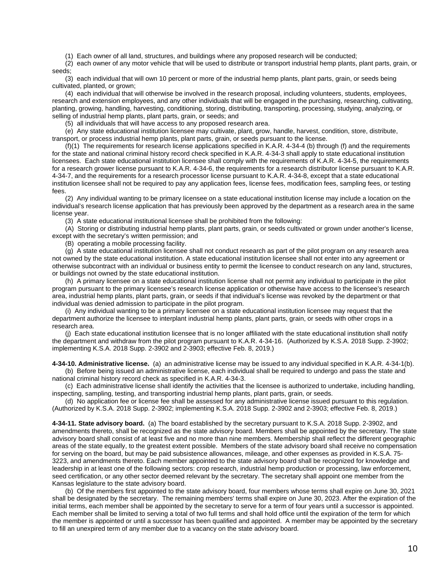(1) Each owner of all land, structures, and buildings where any proposed research will be conducted;

(2) each owner of any motor vehicle that will be used to distribute or transport industrial hemp plants, plant parts, grain, or seeds;

(3) each individual that will own 10 percent or more of the industrial hemp plants, plant parts, grain, or seeds being cultivated, planted, or grown;

(4) each individual that will otherwise be involved in the research proposal, including volunteers, students, employees, research and extension employees, and any other individuals that will be engaged in the purchasing, researching, cultivating, planting, growing, handling, harvesting, conditioning, storing, distributing, transporting, processing, studying, analyzing, or selling of industrial hemp plants, plant parts, grain, or seeds; and

(5) all individuals that will have access to any proposed research area.

(e) Any state educational institution licensee may cultivate, plant, grow, handle, harvest, condition, store, distribute, transport, or process industrial hemp plants, plant parts, grain, or seeds pursuant to the license.

(f)(1) The requirements for research license applications specified in K.A.R. 4-34-4 (b) through (f) and the requirements for the state and national criminal history record check specified in K.A.R. 4-34-3 shall apply to state educational institution licensees. Each state educational institution licensee shall comply with the requirements of K.A.R. 4-34-5, the requirements for a research grower license pursuant to K.A.R. 4-34-6, the requirements for a research distributor license pursuant to K.A.R. 4-34-7, and the requirements for a research processor license pursuant to K.A.R. 4-34-8, except that a state educational institution licensee shall not be required to pay any application fees, license fees, modification fees, sampling fees, or testing fees.

(2) Any individual wanting to be primary licensee on a state educational institution license may include a location on the individual's research license application that has previously been approved by the department as a research area in the same license year.

(3) A state educational institutional licensee shall be prohibited from the following:

(A) Storing or distributing industrial hemp plants, plant parts, grain, or seeds cultivated or grown under another's license, except with the secretary's written permission; and

(B) operating a mobile processing facility.

(g) A state educational institution licensee shall not conduct research as part of the pilot program on any research area not owned by the state educational institution. A state educational institution licensee shall not enter into any agreement or otherwise subcontract with an individual or business entity to permit the licensee to conduct research on any land, structures, or buildings not owned by the state educational institution.

(h) A primary licensee on a state educational institution license shall not permit any individual to participate in the pilot program pursuant to the primary licensee's research license application or otherwise have access to the licensee's research area, industrial hemp plants, plant parts, grain, or seeds if that individual's license was revoked by the department or that individual was denied admission to participate in the pilot program.

(i) Any individual wanting to be a primary licensee on a state educational institution licensee may request that the department authorize the licensee to interplant industrial hemp plants, plant parts, grain, or seeds with other crops in a research area.

(j) Each state educational institution licensee that is no longer affiliated with the state educational institution shall notify the department and withdraw from the pilot program pursuant to K.A.R. 4-34-16. (Authorized by K.S.A. 2018 Supp. 2-3902; implementing K.S.A. 2018 Supp. 2-3902 and 2-3903; effective Feb. 8, 2019.)

**4-34-10. Administrative license.** (a) an administrative license may be issued to any individual specified in K.A.R. 4-34-1(b).

(b) Before being issued an administrative license, each individual shall be required to undergo and pass the state and national criminal history record check as specified in K.A.R. 4-34-3.

(c) Each administrative license shall identify the activities that the licensee is authorized to undertake, including handling, inspecting, sampling, testing, and transporting industrial hemp plants, plant parts, grain, or seeds.

(d) No application fee or license fee shall be assessed for any administrative license issued pursuant to this regulation. (Authorized by K.S.A. 2018 Supp. 2-3902; implementing K.S.A. 2018 Supp. 2-3902 and 2-3903; effective Feb. 8, 2019.)

**4-34-11. State advisory board.** (a) The board established by the secretary pursuant to K.S.A. 2018 Supp. 2-3902, and amendments thereto, shall be recognized as the state advisory board. Members shall be appointed by the secretary. The state advisory board shall consist of at least five and no more than nine members. Membership shall reflect the different geographic areas of the state equally, to the greatest extent possible. Members of the state advisory board shall receive no compensation for serving on the board, but may be paid subsistence allowances, mileage, and other expenses as provided in K.S.A. 75- 3223, and amendments thereto. Each member appointed to the state advisory board shall be recognized for knowledge and leadership in at least one of the following sectors: crop research, industrial hemp production or processing, law enforcement, seed certification, or any other sector deemed relevant by the secretary. The secretary shall appoint one member from the Kansas legislature to the state advisory board.

(b) Of the members first appointed to the state advisory board, four members whose terms shall expire on June 30, 2021 shall be designated by the secretary. The remaining members' terms shall expire on June 30, 2023. After the expiration of the initial terms, each member shall be appointed by the secretary to serve for a term of four years until a successor is appointed. Each member shall be limited to serving a total of two full terms and shall hold office until the expiration of the term for which the member is appointed or until a successor has been qualified and appointed. A member may be appointed by the secretary to fill an unexpired term of any member due to a vacancy on the state advisory board.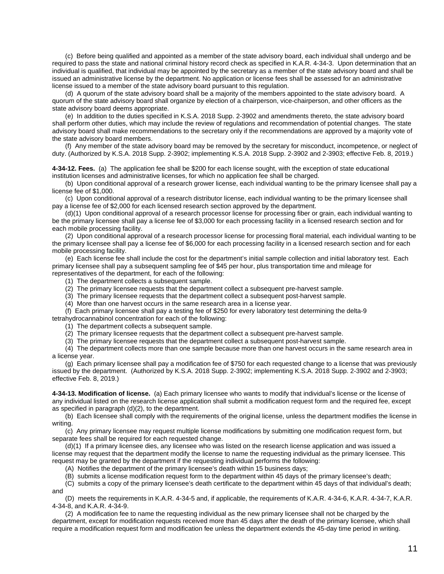(c) Before being qualified and appointed as a member of the state advisory board, each individual shall undergo and be required to pass the state and national criminal history record check as specified in K.A.R. 4-34-3. Upon determination that an individual is qualified, that individual may be appointed by the secretary as a member of the state advisory board and shall be issued an administrative license by the department. No application or license fees shall be assessed for an administrative license issued to a member of the state advisory board pursuant to this regulation.

(d) A quorum of the state advisory board shall be a majority of the members appointed to the state advisory board. A quorum of the state advisory board shall organize by election of a chairperson, vice-chairperson, and other officers as the state advisory board deems appropriate.

(e) In addition to the duties specified in K.S.A. 2018 Supp. 2-3902 and amendments thereto, the state advisory board shall perform other duties, which may include the review of regulations and recommendation of potential changes. The state advisory board shall make recommendations to the secretary only if the recommendations are approved by a majority vote of the state advisory board members.

(f) Any member of the state advisory board may be removed by the secretary for misconduct, incompetence, or neglect of duty. (Authorized by K.S.A. 2018 Supp. 2-3902; implementing K.S.A. 2018 Supp. 2-3902 and 2-3903; effective Feb. 8, 2019.)

**4-34-12. Fees.** (a)The application fee shall be \$200 for each license sought, with the exception of state educational institution licenses and administrative licenses, for which no application fee shall be charged.

(b) Upon conditional approval of a research grower license, each individual wanting to be the primary licensee shall pay a license fee of \$1,000.

(c) Upon conditional approval of a research distributor license, each individual wanting to be the primary licensee shall pay a license fee of \$2,000 for each licensed research section approved by the department.

(d)(1) Upon conditional approval of a research processor license for processing fiber or grain, each individual wanting to be the primary licensee shall pay a license fee of \$3,000 for each processing facility in a licensed research section and for each mobile processing facility.

(2) Upon conditional approval of a research processor license for processing floral material, each individual wanting to be the primary licensee shall pay a license fee of \$6,000 for each processing facility in a licensed research section and for each mobile processing facility.

(e) Each license fee shall include the cost for the department's initial sample collection and initial laboratory test. Each primary licensee shall pay a subsequent sampling fee of \$45 per hour, plus transportation time and mileage for representatives of the department, for each of the following:

(1) The department collects a subsequent sample.

(2) The primary licensee requests that the department collect a subsequent pre-harvest sample.

(3) The primary licensee requests that the department collect a subsequent post-harvest sample.

(4) More than one harvest occurs in the same research area in a license year.

(f) Each primary licensee shall pay a testing fee of \$250 for every laboratory test determining the delta-9 tetrahydrocannabinol concentration for each of the following:

(1) The department collects a subsequent sample.

(2) The primary licensee requests that the department collect a subsequent pre-harvest sample.

(3) The primary licensee requests that the department collect a subsequent post-harvest sample.

(4) The department collects more than one sample because more than one harvest occurs in the same research area in a license year.

(g) Each primary licensee shall pay a modification fee of \$750 for each requested change to a license that was previously issued by the department. (Authorized by K.S.A. 2018 Supp. 2-3902; implementing K.S.A. 2018 Supp. 2-3902 and 2-3903; effective Feb. 8, 2019.)

**4-34-13. Modification of license.** (a) Each primary licensee who wants to modify that individual's license or the license of any individual listed on the research license application shall submit a modification request form and the required fee, except as specified in paragraph (d)(2), to the department.

(b) Each licensee shall comply with the requirements of the original license, unless the department modifies the license in writing.

(c) Any primary licensee may request multiple license modifications by submitting one modification request form, but separate fees shall be required for each requested change.

(d)(1) If a primary licensee dies, any licensee who was listed on the research license application and was issued a license may request that the department modify the license to name the requesting individual as the primary licensee. This request may be granted by the department if the requesting individual performs the following:

(A) Notifies the department of the primary licensee's death within 15 business days;

(B) submits a license modification request form to the department within 45 days of the primary licensee's death;

(C) submits a copy of the primary licensee's death certificate to the department within 45 days of that individual's death; and

(D) meets the requirements in K.A.R. 4-34-5 and, if applicable, the requirements of K.A.R. 4-34-6, K.A.R. 4-34-7, K.A.R. 4-34-8, and K.A.R. 4-34-9.

(2) A modification fee to name the requesting individual as the new primary licensee shall not be charged by the department, except for modification requests received more than 45 days after the death of the primary licensee, which shall require a modification request form and modification fee unless the department extends the 45-day time period in writing.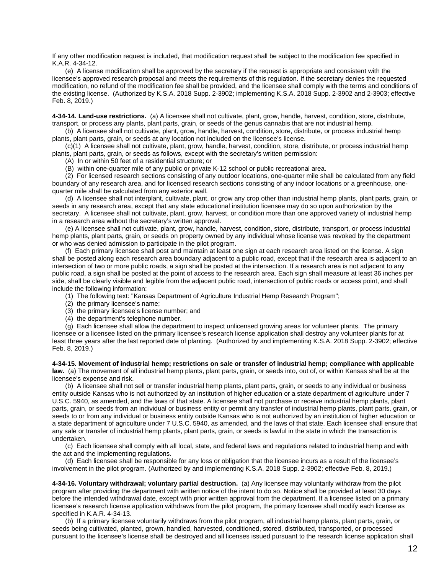If any other modification request is included, that modification request shall be subject to the modification fee specified in K.A.R. 4-34-12.

(e) A license modification shall be approved by the secretary if the request is appropriate and consistent with the licensee's approved research proposal and meets the requirements of this regulation. If the secretary denies the requested modification, no refund of the modification fee shall be provided, and the licensee shall comply with the terms and conditions of the existing license. (Authorized by K.S.A. 2018 Supp. 2-3902; implementing K.S.A. 2018 Supp. 2-3902 and 2-3903; effective Feb. 8, 2019.)

**4-34-14. Land-use restrictions.** (a) A licensee shall not cultivate, plant, grow, handle, harvest, condition, store, distribute, transport, or process any plants, plant parts, grain, or seeds of the genus cannabis that are not industrial hemp.

(b) A licensee shall not cultivate, plant, grow, handle, harvest, condition, store, distribute, or process industrial hemp plants, plant parts, grain, or seeds at any location not included on the licensee's license.

(c)(1) A licensee shall not cultivate, plant, grow, handle, harvest, condition, store, distribute, or process industrial hemp plants, plant parts, grain, or seeds as follows, except with the secretary's written permission:

(A) In or within 50 feet of a residential structure; or

(B) within one-quarter mile of any public or private K-12 school or public recreational area.

(2) For licensed research sections consisting of any outdoor locations, one-quarter mile shall be calculated from any field boundary of any research area, and for licensed research sections consisting of any indoor locations or a greenhouse, onequarter mile shall be calculated from any exterior wall.

(d) A licensee shall not interplant, cultivate, plant, or grow any crop other than industrial hemp plants, plant parts, grain, or seeds in any research area, except that any state educational institution licensee may do so upon authorization by the secretary. A licensee shall not cultivate, plant, grow, harvest, or condition more than one approved variety of industrial hemp in a research area without the secretary's written approval.

(e) A licensee shall not cultivate, plant, grow, handle, harvest, condition, store, distribute, transport, or process industrial hemp plants, plant parts, grain, or seeds on property owned by any individual whose license was revoked by the department or who was denied admission to participate in the pilot program.

(f) Each primary licensee shall post and maintain at least one sign at each research area listed on the license. A sign shall be posted along each research area boundary adjacent to a public road, except that if the research area is adjacent to an intersection of two or more public roads, a sign shall be posted at the intersection. If a research area is not adjacent to any public road, a sign shall be posted at the point of access to the research area. Each sign shall measure at least 36 inches per side, shall be clearly visible and legible from the adjacent public road, intersection of public roads or access point, and shall include the following information:

(1) The following text: "Kansas Department of Agriculture Industrial Hemp Research Program";

- (2) the primary licensee's name;
- (3) the primary licensee's license number; and
- (4) the department's telephone number.

(g) Each licensee shall allow the department to inspect unlicensed growing areas for volunteer plants. The primary licensee or a licensee listed on the primary licensee's research license application shall destroy any volunteer plants for at least three years after the last reported date of planting. (Authorized by and implementing K.S.A. 2018 Supp. 2-3902; effective Feb. 8, 2019.)

**4-34-15. Movement of industrial hemp; restrictions on sale or transfer of industrial hemp; compliance with applicable law.** (a) The movement of all industrial hemp plants, plant parts, grain, or seeds into, out of, or within Kansas shall be at the licensee's expense and risk.

(b) A licensee shall not sell or transfer industrial hemp plants, plant parts, grain, or seeds to any individual or business entity outside Kansas who is not authorized by an institution of higher education or a state department of agriculture under 7 U.S.C. 5940, as amended, and the laws of that state. A licensee shall not purchase or receive industrial hemp plants, plant parts, grain, or seeds from an individual or business entity or permit any transfer of industrial hemp plants, plant parts, grain, or seeds to or from any individual or business entity outside Kansas who is not authorized by an institution of higher education or a state department of agriculture under 7 U.S.C. 5940, as amended, and the laws of that state. Each licensee shall ensure that any sale or transfer of industrial hemp plants, plant parts, grain, or seeds is lawful in the state in which the transaction is undertaken.

(c) Each licensee shall comply with all local, state, and federal laws and regulations related to industrial hemp and with the act and the implementing regulations.

(d) Each licensee shall be responsible for any loss or obligation that the licensee incurs as a result of the licensee's involvement in the pilot program. (Authorized by and implementing K.S.A. 2018 Supp. 2-3902; effective Feb. 8, 2019.)

**4-34-16. Voluntary withdrawal; voluntary partial destruction.** (a) Any licensee may voluntarily withdraw from the pilot program after providing the department with written notice of the intent to do so. Notice shall be provided at least 30 days before the intended withdrawal date, except with prior written approval from the department. If a licensee listed on a primary licensee's research license application withdraws from the pilot program, the primary licensee shall modify each license as specified in K.A.R. 4-34-13.

(b) If a primary licensee voluntarily withdraws from the pilot program, all industrial hemp plants, plant parts, grain, or seeds being cultivated, planted, grown, handled, harvested, conditioned, stored, distributed, transported, or processed pursuant to the licensee's license shall be destroyed and all licenses issued pursuant to the research license application shall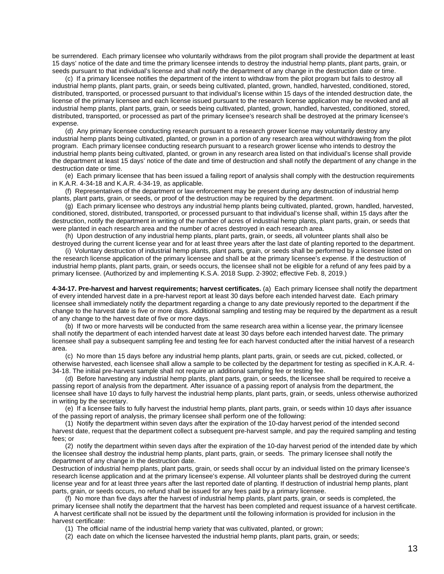be surrendered. Each primary licensee who voluntarily withdraws from the pilot program shall provide the department at least 15 days' notice of the date and time the primary licensee intends to destroy the industrial hemp plants, plant parts, grain, or seeds pursuant to that individual's license and shall notify the department of any change in the destruction date or time.

(c) If a primary licensee notifies the department of the intent to withdraw from the pilot program but fails to destroy all industrial hemp plants, plant parts, grain, or seeds being cultivated, planted, grown, handled, harvested, conditioned, stored, distributed, transported, or processed pursuant to that individual's license within 15 days of the intended destruction date, the license of the primary licensee and each license issued pursuant to the research license application may be revoked and all industrial hemp plants, plant parts, grain, or seeds being cultivated, planted, grown, handled, harvested, conditioned, stored, distributed, transported, or processed as part of the primary licensee's research shall be destroyed at the primary licensee's expense.

(d) Any primary licensee conducting research pursuant to a research grower license may voluntarily destroy any industrial hemp plants being cultivated, planted, or grown in a portion of any research area without withdrawing from the pilot program. Each primary licensee conducting research pursuant to a research grower license who intends to destroy the industrial hemp plants being cultivated, planted, or grown in any research area listed on that individual's license shall provide the department at least 15 days' notice of the date and time of destruction and shall notify the department of any change in the destruction date or time.

(e) Each primary licensee that has been issued a failing report of analysis shall comply with the destruction requirements in K.A.R. 4-34-18 and K.A.R. 4-34-19, as applicable.

(f) Representatives of the department or law enforcement may be present during any destruction of industrial hemp plants, plant parts, grain, or seeds, or proof of the destruction may be required by the department.

(g) Each primary licensee who destroys any industrial hemp plants being cultivated, planted, grown, handled, harvested, conditioned, stored, distributed, transported, or processed pursuant to that individual's license shall, within 15 days after the destruction, notify the department in writing of the number of acres of industrial hemp plants, plant parts, grain, or seeds that were planted in each research area and the number of acres destroyed in each research area.

(h) Upon destruction of any industrial hemp plants, plant parts, grain, or seeds, all volunteer plants shall also be destroyed during the current license year and for at least three years after the last date of planting reported to the department.

(i) Voluntary destruction of industrial hemp plants, plant parts, grain, or seeds shall be performed by a licensee listed on the research license application of the primary licensee and shall be at the primary licensee's expense. If the destruction of industrial hemp plants, plant parts, grain, or seeds occurs, the licensee shall not be eligible for a refund of any fees paid by a primary licensee. (Authorized by and implementing K.S.A. 2018 Supp. 2-3902; effective Feb. 8, 2019.)

**4-34-17. Pre-harvest and harvest requirements; harvest certificates.** (a) Each primary licensee shall notify the department of every intended harvest date in a pre-harvest report at least 30 days before each intended harvest date. Each primary licensee shall immediately notify the department regarding a change to any date previously reported to the department if the change to the harvest date is five or more days. Additional sampling and testing may be required by the department as a result of any change to the harvest date of five or more days.

(b) If two or more harvests will be conducted from the same research area within a license year, the primary licensee shall notify the department of each intended harvest date at least 30 days before each intended harvest date. The primary licensee shall pay a subsequent sampling fee and testing fee for each harvest conducted after the initial harvest of a research area.

(c) No more than 15 days before any industrial hemp plants, plant parts, grain, or seeds are cut, picked, collected, or otherwise harvested, each licensee shall allow a sample to be collected by the department for testing as specified in K.A.R. 4- 34-18. The initial pre-harvest sample shall not require an additional sampling fee or testing fee.

(d) Before harvesting any industrial hemp plants, plant parts, grain, or seeds, the licensee shall be required to receive a passing report of analysis from the department. After issuance of a passing report of analysis from the department, the licensee shall have 10 days to fully harvest the industrial hemp plants, plant parts, grain, or seeds, unless otherwise authorized in writing by the secretary.

(e) If a licensee fails to fully harvest the industrial hemp plants, plant parts, grain, or seeds within 10 days after issuance of the passing report of analysis, the primary licensee shall perform one of the following:

(1) Notify the department within seven days after the expiration of the 10-day harvest period of the intended second harvest date, request that the department collect a subsequent pre-harvest sample, and pay the required sampling and testing fees; or

(2) notify the department within seven days after the expiration of the 10-day harvest period of the intended date by which the licensee shall destroy the industrial hemp plants, plant parts, grain, or seeds. The primary licensee shall notify the department of any change in the destruction date.

Destruction of industrial hemp plants, plant parts, grain, or seeds shall occur by an individual listed on the primary licensee's research license application and at the primary licensee's expense. All volunteer plants shall be destroyed during the current license year and for at least three years after the last reported date of planting. If destruction of industrial hemp plants, plant parts, grain, or seeds occurs, no refund shall be issued for any fees paid by a primary licensee.

(f) No more than five days after the harvest of industrial hemp plants, plant parts, grain, or seeds is completed, the primary licensee shall notify the department that the harvest has been completed and request issuance of a harvest certificate. A harvest certificate shall not be issued by the department until the following information is provided for inclusion in the harvest certificate:

(1) The official name of the industrial hemp variety that was cultivated, planted, or grown;

(2) each date on which the licensee harvested the industrial hemp plants, plant parts, grain, or seeds;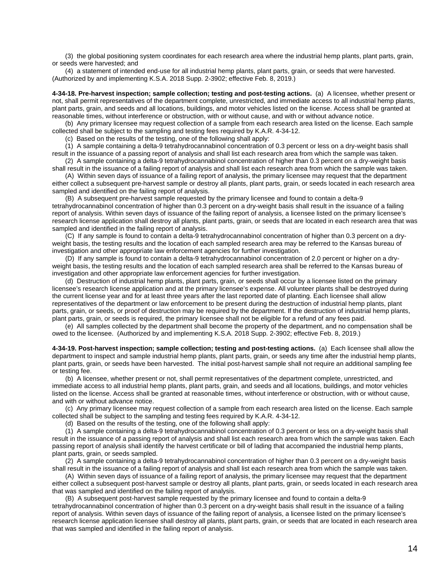(3) the global positioning system coordinates for each research area where the industrial hemp plants, plant parts, grain, or seeds were harvested; and

(4) a statement of intended end-use for all industrial hemp plants, plant parts, grain, or seeds that were harvested. (Authorized by and implementing K.S.A. 2018 Supp. 2-3902; effective Feb. 8, 2019.)

**4-34-18. Pre-harvest inspection; sample collection; testing and post-testing actions.** (a) A licensee, whether present or not, shall permit representatives of the department complete, unrestricted, and immediate access to all industrial hemp plants, plant parts, grain, and seeds and all locations, buildings, and motor vehicles listed on the license. Access shall be granted at reasonable times, without interference or obstruction, with or without cause, and with or without advance notice.

(b) Any primary licensee may request collection of a sample from each research area listed on the license. Each sample collected shall be subject to the sampling and testing fees required by K.A.R. 4-34-12.

(c) Based on the results of the testing, one of the following shall apply:

(1) A sample containing a delta-9 tetrahydrocannabinol concentration of 0.3 percent or less on a dry-weight basis shall result in the issuance of a passing report of analysis and shall list each research area from which the sample was taken.

(2) A sample containing a delta-9 tetrahydrocannabinol concentration of higher than 0.3 percent on a dry-weight basis shall result in the issuance of a failing report of analysis and shall list each research area from which the sample was taken.

(A) Within seven days of issuance of a failing report of analysis, the primary licensee may request that the department either collect a subsequent pre-harvest sample or destroy all plants, plant parts, grain, or seeds located in each research area sampled and identified on the failing report of analysis.

(B) A subsequent pre-harvest sample requested by the primary licensee and found to contain a delta-9 tetrahydrocannabinol concentration of higher than 0.3 percent on a dry-weight basis shall result in the issuance of a failing report of analysis. Within seven days of issuance of the failing report of analysis, a licensee listed on the primary licensee's research license application shall destroy all plants, plant parts, grain, or seeds that are located in each research area that was sampled and identified in the failing report of analysis.

(C) If any sample is found to contain a delta-9 tetrahydrocannabinol concentration of higher than 0.3 percent on a dryweight basis, the testing results and the location of each sampled research area may be referred to the Kansas bureau of investigation and other appropriate law enforcement agencies for further investigation.

(D) If any sample is found to contain a delta-9 tetrahydrocannabinol concentration of 2.0 percent or higher on a dryweight basis, the testing results and the location of each sampled research area shall be referred to the Kansas bureau of investigation and other appropriate law enforcement agencies for further investigation.

(d) Destruction of industrial hemp plants, plant parts, grain, or seeds shall occur by a licensee listed on the primary licensee's research license application and at the primary licensee's expense. All volunteer plants shall be destroyed during the current license year and for at least three years after the last reported date of planting. Each licensee shall allow representatives of the department or law enforcement to be present during the destruction of industrial hemp plants, plant parts, grain, or seeds, or proof of destruction may be required by the department. If the destruction of industrial hemp plants, plant parts, grain, or seeds is required, the primary licensee shall not be eligible for a refund of any fees paid.

(e) All samples collected by the department shall become the property of the department, and no compensation shall be owed to the licensee. (Authorized by and implementing K.S.A. 2018 Supp. 2-3902; effective Feb. 8, 2019.)

**4-34-19. Post-harvest inspection; sample collection; testing and post-testing actions.** (a) Each licensee shall allow the department to inspect and sample industrial hemp plants, plant parts, grain, or seeds any time after the industrial hemp plants, plant parts, grain, or seeds have been harvested. The initial post-harvest sample shall not require an additional sampling fee or testing fee.

(b) A licensee, whether present or not, shall permit representatives of the department complete, unrestricted, and immediate access to all industrial hemp plants, plant parts, grain, and seeds and all locations, buildings, and motor vehicles listed on the license. Access shall be granted at reasonable times, without interference or obstruction, with or without cause, and with or without advance notice.

(c) Any primary licensee may request collection of a sample from each research area listed on the license. Each sample collected shall be subject to the sampling and testing fees required by K.A.R. 4-34-12.

(d) Based on the results of the testing, one of the following shall apply:

(1) A sample containing a delta-9 tetrahydrocannabinol concentration of 0.3 percent or less on a dry-weight basis shall result in the issuance of a passing report of analysis and shall list each research area from which the sample was taken. Each passing report of analysis shall identify the harvest certificate or bill of lading that accompanied the industrial hemp plants, plant parts, grain, or seeds sampled.

(2) A sample containing a delta-9 tetrahydrocannabinol concentration of higher than 0.3 percent on a dry-weight basis shall result in the issuance of a failing report of analysis and shall list each research area from which the sample was taken.

(A) Within seven days of issuance of a failing report of analysis, the primary licensee may request that the department either collect a subsequent post-harvest sample or destroy all plants, plant parts, grain, or seeds located in each research area that was sampled and identified on the failing report of analysis.

(B) A subsequent post-harvest sample requested by the primary licensee and found to contain a delta-9 tetrahydrocannabinol concentration of higher than 0.3 percent on a dry-weight basis shall result in the issuance of a failing report of analysis. Within seven days of issuance of the failing report of analysis, a licensee listed on the primary licensee's research license application licensee shall destroy all plants, plant parts, grain, or seeds that are located in each research area that was sampled and identified in the failing report of analysis.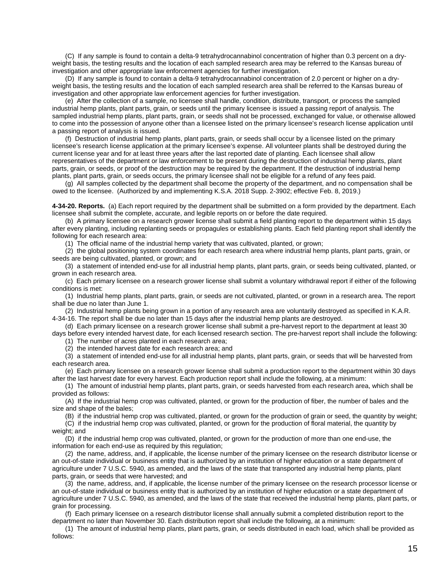(C) If any sample is found to contain a delta-9 tetrahydrocannabinol concentration of higher than 0.3 percent on a dryweight basis, the testing results and the location of each sampled research area may be referred to the Kansas bureau of investigation and other appropriate law enforcement agencies for further investigation.

(D) If any sample is found to contain a delta-9 tetrahydrocannabinol concentration of 2.0 percent or higher on a dryweight basis, the testing results and the location of each sampled research area shall be referred to the Kansas bureau of investigation and other appropriate law enforcement agencies for further investigation.

(e) After the collection of a sample, no licensee shall handle, condition, distribute, transport, or process the sampled industrial hemp plants, plant parts, grain, or seeds until the primary licensee is issued a passing report of analysis. The sampled industrial hemp plants, plant parts, grain, or seeds shall not be processed, exchanged for value, or otherwise allowed to come into the possession of anyone other than a licensee listed on the primary licensee's research license application until a passing report of analysis is issued.

(f) Destruction of industrial hemp plants, plant parts, grain, or seeds shall occur by a licensee listed on the primary licensee's research license application at the primary licensee's expense. All volunteer plants shall be destroyed during the current license year and for at least three years after the last reported date of planting. Each licensee shall allow representatives of the department or law enforcement to be present during the destruction of industrial hemp plants, plant parts, grain, or seeds, or proof of the destruction may be required by the department. If the destruction of industrial hemp plants, plant parts, grain, or seeds occurs, the primary licensee shall not be eligible for a refund of any fees paid.

(g) All samples collected by the department shall become the property of the department, and no compensation shall be owed to the licensee. (Authorized by and implementing K.S.A. 2018 Supp. 2-3902; effective Feb. 8, 2019.)

**4-34-20. Reports.** (a) Each report required by the department shall be submitted on a form provided by the department. Each licensee shall submit the complete, accurate, and legible reports on or before the date required.

(b) A primary licensee on a research grower license shall submit a field planting report to the department within 15 days after every planting, including replanting seeds or propagules or establishing plants. Each field planting report shall identify the following for each research area:

(1) The official name of the industrial hemp variety that was cultivated, planted, or grown;

(2) the global positioning system coordinates for each research area where industrial hemp plants, plant parts, grain, or seeds are being cultivated, planted, or grown; and

(3) a statement of intended end-use for all industrial hemp plants, plant parts, grain, or seeds being cultivated, planted, or grown in each research area.

(c) Each primary licensee on a research grower license shall submit a voluntary withdrawal report if either of the following conditions is met:

(1) Industrial hemp plants, plant parts, grain, or seeds are not cultivated, planted, or grown in a research area. The report shall be due no later than June 1.

(2) Industrial hemp plants being grown in a portion of any research area are voluntarily destroyed as specified in K.A.R. 4-34-16. The report shall be due no later than 15 days after the industrial hemp plants are destroyed.

(d) Each primary licensee on a research grower license shall submit a pre-harvest report to the department at least 30 days before every intended harvest date, for each licensed research section. The pre-harvest report shall include the following:

(1) The number of acres planted in each research area;

(2) the intended harvest date for each research area; and

(3) a statement of intended end-use for all industrial hemp plants, plant parts, grain, or seeds that will be harvested from each research area.

(e) Each primary licensee on a research grower license shall submit a production report to the department within 30 days after the last harvest date for every harvest. Each production report shall include the following, at a minimum:

(1) The amount of industrial hemp plants, plant parts, grain, or seeds harvested from each research area, which shall be provided as follows:

(A) If the industrial hemp crop was cultivated, planted, or grown for the production of fiber, the number of bales and the size and shape of the bales;

(B) if the industrial hemp crop was cultivated, planted, or grown for the production of grain or seed, the quantity by weight;

(C) if the industrial hemp crop was cultivated, planted, or grown for the production of floral material, the quantity by weight; and

(D) if the industrial hemp crop was cultivated, planted, or grown for the production of more than one end-use, the information for each end-use as required by this regulation;

(2) the name, address, and, if applicable, the license number of the primary licensee on the research distributor license or an out-of-state individual or business entity that is authorized by an institution of higher education or a state department of agriculture under 7 U.S.C. 5940, as amended, and the laws of the state that transported any industrial hemp plants, plant parts, grain, or seeds that were harvested; and

(3) the name, address, and, if applicable, the license number of the primary licensee on the research processor license or an out-of-state individual or business entity that is authorized by an institution of higher education or a state department of agriculture under 7 U.S.C. 5940, as amended, and the laws of the state that received the industrial hemp plants, plant parts, or grain for processing.

(f) Each primary licensee on a research distributor license shall annually submit a completed distribution report to the department no later than November 30. Each distribution report shall include the following, at a minimum:

(1) The amount of industrial hemp plants, plant parts, grain, or seeds distributed in each load, which shall be provided as follows: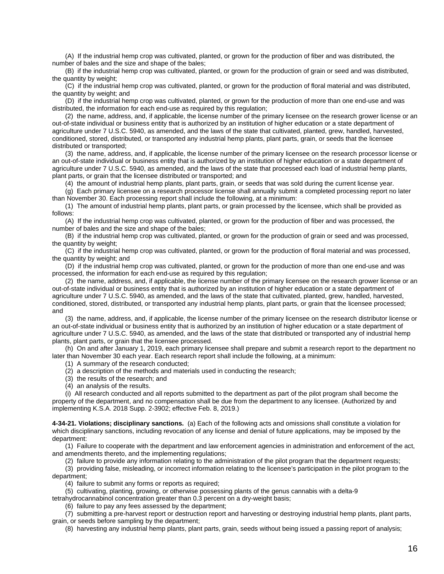(A) If the industrial hemp crop was cultivated, planted, or grown for the production of fiber and was distributed, the number of bales and the size and shape of the bales;

(B) if the industrial hemp crop was cultivated, planted, or grown for the production of grain or seed and was distributed, the quantity by weight;

(C) if the industrial hemp crop was cultivated, planted, or grown for the production of floral material and was distributed, the quantity by weight; and

(D) if the industrial hemp crop was cultivated, planted, or grown for the production of more than one end-use and was distributed, the information for each end-use as required by this regulation;

(2) the name, address, and, if applicable, the license number of the primary licensee on the research grower license or an out-of-state individual or business entity that is authorized by an institution of higher education or a state department of agriculture under 7 U.S.C. 5940, as amended, and the laws of the state that cultivated, planted, grew, handled, harvested, conditioned, stored, distributed, or transported any industrial hemp plants, plant parts, grain, or seeds that the licensee distributed or transported;

(3) the name, address, and, if applicable, the license number of the primary licensee on the research processor license or an out-of-state individual or business entity that is authorized by an institution of higher education or a state department of agriculture under 7 U.S.C. 5940, as amended, and the laws of the state that processed each load of industrial hemp plants, plant parts, or grain that the licensee distributed or transported; and

(4) the amount of industrial hemp plants, plant parts, grain, or seeds that was sold during the current license year.

(g) Each primary licensee on a research processor license shall annually submit a completed processing report no later than November 30. Each processing report shall include the following, at a minimum:

(1) The amount of industrial hemp plants, plant parts, or grain processed by the licensee, which shall be provided as follows:

(A) If the industrial hemp crop was cultivated, planted, or grown for the production of fiber and was processed, the number of bales and the size and shape of the bales;

(B) if the industrial hemp crop was cultivated, planted, or grown for the production of grain or seed and was processed, the quantity by weight;

(C) if the industrial hemp crop was cultivated, planted, or grown for the production of floral material and was processed, the quantity by weight; and

(D) if the industrial hemp crop was cultivated, planted, or grown for the production of more than one end-use and was processed, the information for each end-use as required by this regulation;

(2) the name, address, and, if applicable, the license number of the primary licensee on the research grower license or an out-of-state individual or business entity that is authorized by an institution of higher education or a state department of agriculture under 7 U.S.C. 5940, as amended, and the laws of the state that cultivated, planted, grew, handled, harvested, conditioned, stored, distributed, or transported any industrial hemp plants, plant parts, or grain that the licensee processed; and

(3) the name, address, and, if applicable, the license number of the primary licensee on the research distributor license or an out-of-state individual or business entity that is authorized by an institution of higher education or a state department of agriculture under 7 U.S.C. 5940, as amended, and the laws of the state that distributed or transported any of industrial hemp plants, plant parts, or grain that the licensee processed.

(h) On and after January 1, 2019, each primary licensee shall prepare and submit a research report to the department no later than November 30 each year. Each research report shall include the following, at a minimum:

- (1) A summary of the research conducted;
- (2) a description of the methods and materials used in conducting the research;
- (3) the results of the research; and
- (4) an analysis of the results.

(i) All research conducted and all reports submitted to the department as part of the pilot program shall become the property of the department, and no compensation shall be due from the department to any licensee. (Authorized by and implementing K.S.A. 2018 Supp. 2-3902; effective Feb. 8, 2019.)

**4-34-21. Violations; disciplinary sanctions.** (a) Each of the following acts and omissions shall constitute a violation for which disciplinary sanctions, including revocation of any license and denial of future applications, may be imposed by the department:

(1) Failure to cooperate with the department and law enforcement agencies in administration and enforcement of the act, and amendments thereto, and the implementing regulations;

(2) failure to provide any information relating to the administration of the pilot program that the department requests;

(3) providing false, misleading, or incorrect information relating to the licensee's participation in the pilot program to the department;

(4) failure to submit any forms or reports as required;

(5) cultivating, planting, growing, or otherwise possessing plants of the genus cannabis with a delta-9

tetrahydrocannabinol concentration greater than 0.3 percent on a dry-weight basis;

(6) failure to pay any fees assessed by the department;

(7) submitting a pre-harvest report or destruction report and harvesting or destroying industrial hemp plants, plant parts, grain, or seeds before sampling by the department;

(8) harvesting any industrial hemp plants, plant parts, grain, seeds without being issued a passing report of analysis;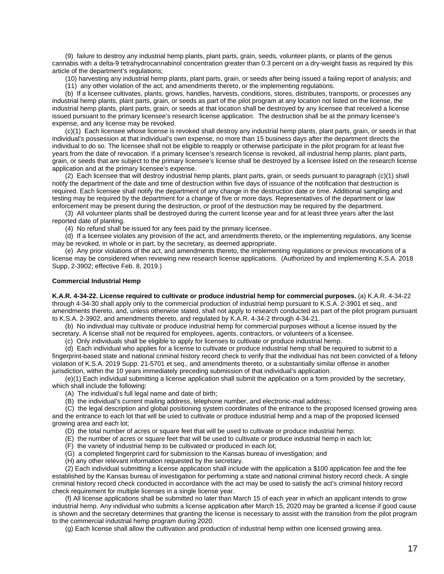(9) failure to destroy any industrial hemp plants, plant parts, grain, seeds, volunteer plants, or plants of the genus cannabis with a delta-9 tetrahydrocannabinol concentration greater than 0.3 percent on a dry-weight basis as required by this article of the department's regulations;

(10) harvesting any industrial hemp plants, plant parts, grain, or seeds after being issued a failing report of analysis; and

(11) any other violation of the act, and amendments thereto, or the implementing regulations.

(b) If a licensee cultivates, plants, grows, handles, harvests, conditions, stores, distributes, transports, or processes any industrial hemp plants, plant parts, grain, or seeds as part of the pilot program at any location not listed on the license, the industrial hemp plants, plant parts, grain, or seeds at that location shall be destroyed by any licensee that received a license issued pursuant to the primary licensee's research license application. The destruction shall be at the primary licensee's expense, and any license may be revoked.

(c)(1) Each licensee whose license is revoked shall destroy any industrial hemp plants, plant parts, grain, or seeds in that individual's possession at that individual's own expense, no more than 15 business days after the department directs the individual to do so. The licensee shall not be eligible to reapply or otherwise participate in the pilot program for at least five years from the date of revocation. If a primary licensee's research license is revoked, all industrial hemp plants, plant parts, grain, or seeds that are subject to the primary licensee's license shall be destroyed by a licensee listed on the research license application and at the primary licensee's expense.

(2) Each licensee that will destroy industrial hemp plants, plant parts, grain, or seeds pursuant to paragraph (c)(1) shall notify the department of the date and time of destruction within five days of issuance of the notification that destruction is required. Each licensee shall notify the department of any change in the destruction date or time. Additional sampling and testing may be required by the department for a change of five or more days. Representatives of the department or law enforcement may be present during the destruction, or proof of the destruction may be required by the department.

(3) All volunteer plants shall be destroyed during the current license year and for at least three years after the last reported date of planting.

(4) No refund shall be issued for any fees paid by the primary licensee.

(d) If a licensee violates any provision of the act, and amendments thereto, or the implementing regulations, any license may be revoked, in whole or in part, by the secretary, as deemed appropriate.

(e) Any prior violations of the act, and amendments thereto, the implementing regulations or previous revocations of a license may be considered when reviewing new research license applications. (Authorized by and implementing K.S.A. 2018 Supp. 2-3902; effective Feb. 8, 2019.)

#### **Commercial Industrial Hemp**

**K.A.R. 4-34-22. License required to cultivate or produce industrial hemp for commercial purposes.** (a) K.A.R. 4-34-22 through 4-34-30 shall apply only to the commercial production of industrial hemp pursuant to K.S.A. 2-3901 et seq., and amendments thereto, and, unless otherwise stated, shall not apply to research conducted as part of the pilot program pursuant to K.S.A. 2-3902, and amendments thereto, and regulated by K.A.R. 4-34-2 through 4-34-21.

(b) No individual may cultivate or produce industrial hemp for commercial purposes without a license issued by the secretary. A license shall not be required for employees, agents, contractors, or volunteers of a licensee.

(c) Only individuals shall be eligible to apply for licenses to cultivate or produce industrial hemp.

(d) Each individual who applies for a license to cultivate or produce industrial hemp shall be required to submit to a fingerprint-based state and national criminal history record check to verify that the individual has not been convicted of a felony violation of K.S.A. 2019 Supp. 21-5701 et seq., and amendments thereto, or a substantially similar offense in another jurisdiction, within the 10 years immediately preceding submission of that individual's application.

(e)(1) Each individual submitting a license application shall submit the application on a form provided by the secretary,

which shall include the following:

- (A) The individual's full legal name and date of birth;
- (B) the individual's current mailing address, telephone number, and electronic-mail address;

(C) the legal description and global positioning system coordinates of the entrance to the proposed licensed growing area and the entrance to each lot that will be used to cultivate or produce industrial hemp and a map of the proposed licensed growing area and each lot;

- (D) the total number of acres or square feet that will be used to cultivate or produce industrial hemp;
- (E) the number of acres or square feet that will be used to cultivate or produce industrial hemp in each lot;
- (F) the variety of industrial hemp to be cultivated or produced in each lot;
- (G) a completed fingerprint card for submission to the Kansas bureau of investigation; and
- (H) any other relevant information requested by the secretary.

(2) Each individual submitting a license application shall include with the application a \$100 application fee and the fee established by the Kansas bureau of investigation for performing a state and national criminal history record check. A single criminal history record check conducted in accordance with the act may be used to satisfy the act's criminal history record check requirement for multiple licenses in a single license year.

(f) All license applications shall be submitted no later than March 15 of each year in which an applicant intends to grow industrial hemp. Any individual who submits a license application after March 15, 2020 may be granted a license if good cause is shown and the secretary determines that granting the license is necessary to assist with the transition from the pilot program to the commercial industrial hemp program during 2020.

(g) Each license shall allow the cultivation and production of industrial hemp within one licensed growing area.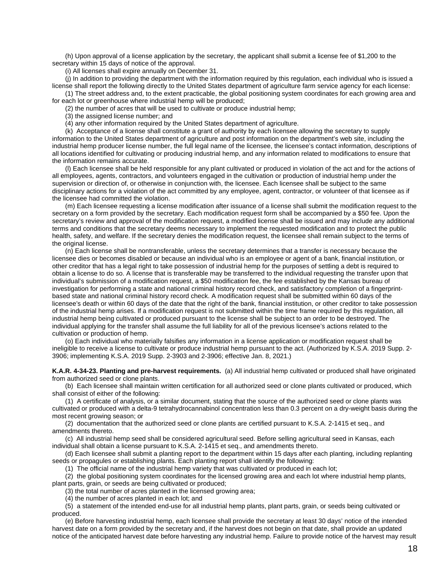(h) Upon approval of a license application by the secretary, the applicant shall submit a license fee of \$1,200 to the secretary within 15 days of notice of the approval.

(i) All licenses shall expire annually on December 31.

(j) In addition to providing the department with the information required by this regulation, each individual who is issued a license shall report the following directly to the United States department of agriculture farm service agency for each license:

(1) The street address and, to the extent practicable, the global positioning system coordinates for each growing area and for each lot or greenhouse where industrial hemp will be produced;

(2) the number of acres that will be used to cultivate or produce industrial hemp;

(3) the assigned license number; and

(4) any other information required by the United States department of agriculture.

(k) Acceptance of a license shall constitute a grant of authority by each licensee allowing the secretary to supply information to the United States department of agriculture and post information on the department's web site, including the industrial hemp producer license number, the full legal name of the licensee, the licensee's contact information, descriptions of all locations identified for cultivating or producing industrial hemp, and any information related to modifications to ensure that the information remains accurate.

(l) Each licensee shall be held responsible for any plant cultivated or produced in violation of the act and for the actions of all employees, agents, contractors, and volunteers engaged in the cultivation or production of industrial hemp under the supervision or direction of, or otherwise in conjunction with, the licensee. Each licensee shall be subject to the same disciplinary actions for a violation of the act committed by any employee, agent, contractor, or volunteer of that licensee as if the licensee had committed the violation.

(m) Each licensee requesting a license modification after issuance of a license shall submit the modification request to the secretary on a form provided by the secretary. Each modification request form shall be accompanied by a \$50 fee. Upon the secretary's review and approval of the modification request, a modified license shall be issued and may include any additional terms and conditions that the secretary deems necessary to implement the requested modification and to protect the public health, safety, and welfare. If the secretary denies the modification request, the licensee shall remain subject to the terms of the original license.

(n) Each license shall be nontransferable, unless the secretary determines that a transfer is necessary because the licensee dies or becomes disabled or because an individual who is an employee or agent of a bank, financial institution, or other creditor that has a legal right to take possession of industrial hemp for the purposes of settling a debt is required to obtain a license to do so. A license that is transferable may be transferred to the individual requesting the transfer upon that individual's submission of a modification request, a \$50 modification fee, the fee established by the Kansas bureau of investigation for performing a state and national criminal history record check, and satisfactory completion of a fingerprintbased state and national criminal history record check. A modification request shall be submitted within 60 days of the licensee's death or within 60 days of the date that the right of the bank, financial institution, or other creditor to take possession of the industrial hemp arises. If a modification request is not submitted within the time frame required by this regulation, all industrial hemp being cultivated or produced pursuant to the license shall be subject to an order to be destroyed. The individual applying for the transfer shall assume the full liability for all of the previous licensee's actions related to the cultivation or production of hemp.

(o) Each individual who materially falsifies any information in a license application or modification request shall be ineligible to receive a license to cultivate or produce industrial hemp pursuant to the act. (Authorized by K.S.A. 2019 Supp. 2- 3906; implementing K.S.A. 2019 Supp. 2-3903 and 2-3906; effective Jan. 8, 2021.)

**K.A.R. 4-34-23. Planting and pre-harvest requirements.** (a) All industrial hemp cultivated or produced shall have originated from authorized seed or clone plants.

(b) Each licensee shall maintain written certification for all authorized seed or clone plants cultivated or produced, which shall consist of either of the following:

(1) A certificate of analysis, or a similar document, stating that the source of the authorized seed or clone plants was cultivated or produced with a delta-9 tetrahydrocannabinol concentration less than 0.3 percent on a dry-weight basis during the most recent growing season; or

(2) documentation that the authorized seed or clone plants are certified pursuant to K.S.A. 2-1415 et seq., and amendments thereto.

(c) All industrial hemp seed shall be considered agricultural seed. Before selling agricultural seed in Kansas, each individual shall obtain a license pursuant to K.S.A. 2-1415 et seq., and amendments thereto.

(d) Each licensee shall submit a planting report to the department within 15 days after each planting, including replanting seeds or propagules or establishing plants. Each planting report shall identify the following:

(1) The official name of the industrial hemp variety that was cultivated or produced in each lot;

(2) the global positioning system coordinates for the licensed growing area and each lot where industrial hemp plants, plant parts, grain, or seeds are being cultivated or produced;

(3) the total number of acres planted in the licensed growing area;

(4) the number of acres planted in each lot; and

(5) a statement of the intended end-use for all industrial hemp plants, plant parts, grain, or seeds being cultivated or produced.

(e) Before harvesting industrial hemp, each licensee shall provide the secretary at least 30 days' notice of the intended harvest date on a form provided by the secretary and, if the harvest does not begin on that date, shall provide an updated notice of the anticipated harvest date before harvesting any industrial hemp. Failure to provide notice of the harvest may result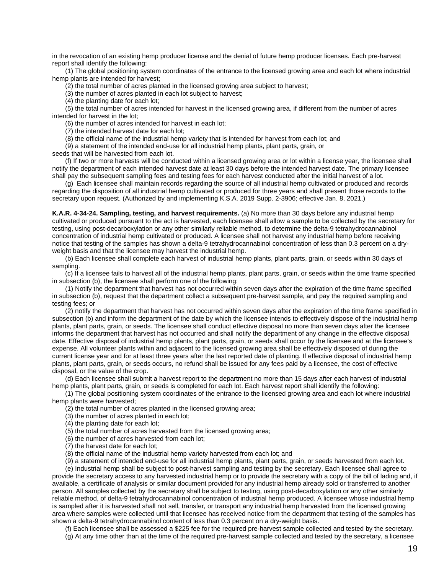in the revocation of an existing hemp producer license and the denial of future hemp producer licenses. Each pre-harvest report shall identify the following:

(1) The global positioning system coordinates of the entrance to the licensed growing area and each lot where industrial hemp plants are intended for harvest;

(2) the total number of acres planted in the licensed growing area subject to harvest;

(3) the number of acres planted in each lot subject to harvest;

(4) the planting date for each lot;

(5) the total number of acres intended for harvest in the licensed growing area, if different from the number of acres intended for harvest in the lot;

(6) the number of acres intended for harvest in each lot;

(7) the intended harvest date for each lot;

(8) the official name of the industrial hemp variety that is intended for harvest from each lot; and

(9) a statement of the intended end-use for all industrial hemp plants, plant parts, grain, or

seeds that will be harvested from each lot.

(f) If two or more harvests will be conducted within a licensed growing area or lot within a license year, the licensee shall notify the department of each intended harvest date at least 30 days before the intended harvest date. The primary licensee shall pay the subsequent sampling fees and testing fees for each harvest conducted after the initial harvest of a lot.

(g) Each licensee shall maintain records regarding the source of all industrial hemp cultivated or produced and records regarding the disposition of all industrial hemp cultivated or produced for three years and shall present those records to the secretary upon request. (Authorized by and implementing K.S.A. 2019 Supp. 2-3906; effective Jan. 8, 2021.)

**K.A.R. 4-34-24. Sampling, testing, and harvest requirements.** (a) No more than 30 days before any industrial hemp cultivated or produced pursuant to the act is harvested, each licensee shall allow a sample to be collected by the secretary for testing, using post-decarboxylation or any other similarly reliable method, to determine the delta-9 tetrahydrocannabinol concentration of industrial hemp cultivated or produced. A licensee shall not harvest any industrial hemp before receiving notice that testing of the samples has shown a delta-9 tetrahydrocannabinol concentration of less than 0.3 percent on a dryweight basis and that the licensee may harvest the industrial hemp.

(b) Each licensee shall complete each harvest of industrial hemp plants, plant parts, grain, or seeds within 30 days of sampling.

(c) If a licensee fails to harvest all of the industrial hemp plants, plant parts, grain, or seeds within the time frame specified in subsection (b), the licensee shall perform one of the following:

(1) Notify the department that harvest has not occurred within seven days after the expiration of the time frame specified in subsection (b), request that the department collect a subsequent pre-harvest sample, and pay the required sampling and testing fees; or

(2) notify the department that harvest has not occurred within seven days after the expiration of the time frame specified in subsection (b) and inform the department of the date by which the licensee intends to effectively dispose of the industrial hemp plants, plant parts, grain, or seeds. The licensee shall conduct effective disposal no more than seven days after the licensee informs the department that harvest has not occurred and shall notify the department of any change in the effective disposal date. Effective disposal of industrial hemp plants, plant parts, grain, or seeds shall occur by the licensee and at the licensee's expense. All volunteer plants within and adjacent to the licensed growing area shall be effectively disposed of during the current license year and for at least three years after the last reported date of planting. If effective disposal of industrial hemp plants, plant parts, grain, or seeds occurs, no refund shall be issued for any fees paid by a licensee, the cost of effective disposal, or the value of the crop.

(d) Each licensee shall submit a harvest report to the department no more than 15 days after each harvest of industrial hemp plants, plant parts, grain, or seeds is completed for each lot. Each harvest report shall identify the following:

(1) The global positioning system coordinates of the entrance to the licensed growing area and each lot where industrial hemp plants were harvested;

(2) the total number of acres planted in the licensed growing area;

(3) the number of acres planted in each lot;

(4) the planting date for each lot;

(5) the total number of acres harvested from the licensed growing area;

(6) the number of acres harvested from each lot;

(7) the harvest date for each lot;

(8) the official name of the industrial hemp variety harvested from each lot; and

(9) a statement of intended end-use for all industrial hemp plants, plant parts, grain, or seeds harvested from each lot.

(e) Industrial hemp shall be subject to post-harvest sampling and testing by the secretary. Each licensee shall agree to provide the secretary access to any harvested industrial hemp or to provide the secretary with a copy of the bill of lading and, if available, a certificate of analysis or similar document provided for any industrial hemp already sold or transferred to another person. All samples collected by the secretary shall be subject to testing, using post-decarboxylation or any other similarly reliable method, of delta-9 tetrahydrocannabinol concentration of industrial hemp produced. A licensee whose industrial hemp is sampled after it is harvested shall not sell, transfer, or transport any industrial hemp harvested from the licensed growing area where samples were collected until that licensee has received notice from the department that testing of the samples has shown a delta-9 tetrahydrocannabinol content of less than 0.3 percent on a dry-weight basis.

(f) Each licensee shall be assessed a \$225 fee for the required pre-harvest sample collected and tested by the secretary. (g) At any time other than at the time of the required pre-harvest sample collected and tested by the secretary, a licensee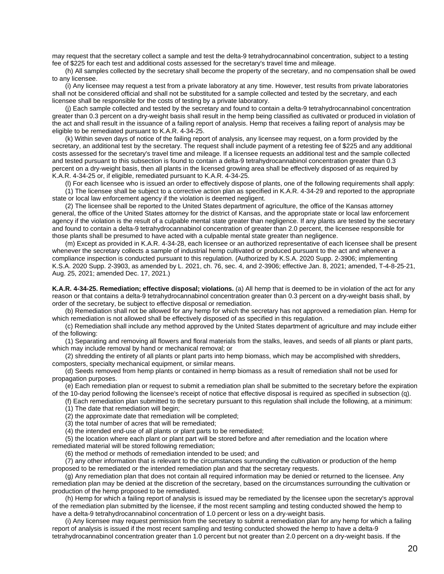may request that the secretary collect a sample and test the delta-9 tetrahydrocannabinol concentration, subject to a testing fee of \$225 for each test and additional costs assessed for the secretary's travel time and mileage.

(h) All samples collected by the secretary shall become the property of the secretary, and no compensation shall be owed to any licensee.

(i) Any licensee may request a test from a private laboratory at any time. However, test results from private laboratories shall not be considered official and shall not be substituted for a sample collected and tested by the secretary, and each licensee shall be responsible for the costs of testing by a private laboratory.

(j) Each sample collected and tested by the secretary and found to contain a delta-9 tetrahydrocannabinol concentration greater than 0.3 percent on a dry-weight basis shall result in the hemp being classified as cultivated or produced in violation of the act and shall result in the issuance of a failing report of analysis. Hemp that receives a failing report of analysis may be eligible to be remediated pursuant to K.A.R. 4-34-25.

(k) Within seven days of notice of the failing report of analysis, any licensee may request, on a form provided by the secretary, an additional test by the secretary. The request shall include payment of a retesting fee of \$225 and any additional costs assessed for the secretary's travel time and mileage. If a licensee requests an additional test and the sample collected and tested pursuant to this subsection is found to contain a delta-9 tetrahydrocannabinol concentration greater than 0.3 percent on a dry-weight basis, then all plants in the licensed growing area shall be effectively disposed of as required by K.A.R. 4-34-25 or, if eligible, remediated pursuant to K.A.R. 4-34-25.

(l) For each licensee who is issued an order to effectively dispose of plants, one of the following requirements shall apply: (1) The licensee shall be subject to a corrective action plan as specified in K.A.R. 4-34-29 and reported to the appropriate state or local law enforcement agency if the violation is deemed negligent.

(2) The licensee shall be reported to the United States department of agriculture, the office of the Kansas attorney general, the office of the United States attorney for the district of Kansas, and the appropriate state or local law enforcement agency if the violation is the result of a culpable mental state greater than negligence. If any plants are tested by the secretary and found to contain a delta-9 tetrahydrocannabinol concentration of greater than 2.0 percent, the licensee responsible for those plants shall be presumed to have acted with a culpable mental state greater than negligence.

(m) Except as provided in K.A.R. 4-34-28, each licensee or an authorized representative of each licensee shall be present whenever the secretary collects a sample of industrial hemp cultivated or produced pursuant to the act and whenever a compliance inspection is conducted pursuant to this regulation. (Authorized by K.S.A. 2020 Supp. 2-3906; implementing K.S.A. 2020 Supp. 2-3903, as amended by L. 2021, ch. 76, sec. 4, and 2-3906; effective Jan. 8, 2021; amended, T-4-8-25-21, Aug. 25, 2021; amended Dec. 17, 2021.)

**K.A.R. 4-34-25. Remediation; effective disposal; violations.** (a) All hemp that is deemed to be in violation of the act for any reason or that contains a delta-9 tetrahydrocannabinol concentration greater than 0.3 percent on a dry-weight basis shall, by order of the secretary, be subject to effective disposal or remediation.

(b) Remediation shall not be allowed for any hemp for which the secretary has not approved a remediation plan. Hemp for which remediation is not allowed shall be effectively disposed of as specified in this regulation.

(c) Remediation shall include any method approved by the United States department of agriculture and may include either of the following:

(1) Separating and removing all flowers and floral materials from the stalks, leaves, and seeds of all plants or plant parts, which may include removal by hand or mechanical removal; or

(2) shredding the entirety of all plants or plant parts into hemp biomass, which may be accomplished with shredders, composters, specialty mechanical equipment, or similar means.

(d) Seeds removed from hemp plants or contained in hemp biomass as a result of remediation shall not be used for propagation purposes.

(e) Each remediation plan or request to submit a remediation plan shall be submitted to the secretary before the expiration of the 10-day period following the licensee's receipt of notice that effective disposal is required as specified in subsection (q).

(f) Each remediation plan submitted to the secretary pursuant to this regulation shall include the following, at a minimum:

(1) The date that remediation will begin;

(2) the approximate date that remediation will be completed;

(3) the total number of acres that will be remediated;

(4) the intended end-use of all plants or plant parts to be remediated;

(5) the location where each plant or plant part will be stored before and after remediation and the location where remediated material will be stored following remediation;

(6) the method or methods of remediation intended to be used; and

(7) any other information that is relevant to the circumstances surrounding the cultivation or production of the hemp proposed to be remediated or the intended remediation plan and that the secretary requests.

(g) Any remediation plan that does not contain all required information may be denied or returned to the licensee. Any remediation plan may be denied at the discretion of the secretary, based on the circumstances surrounding the cultivation or production of the hemp proposed to be remediated.

(h) Hemp for which a failing report of analysis is issued may be remediated by the licensee upon the secretary's approval of the remediation plan submitted by the licensee, if the most recent sampling and testing conducted showed the hemp to have a delta-9 tetrahydrocannabinol concentration of 1.0 percent or less on a dry-weight basis.

(i) Any licensee may request permission from the secretary to submit a remediation plan for any hemp for which a failing report of analysis is issued if the most recent sampling and testing conducted showed the hemp to have a delta-9 tetrahydrocannabinol concentration greater than 1.0 percent but not greater than 2.0 percent on a dry-weight basis. If the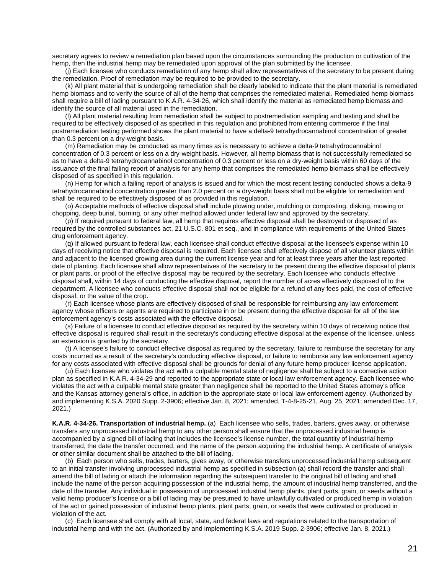secretary agrees to review a remediation plan based upon the circumstances surrounding the production or cultivation of the hemp, then the industrial hemp may be remediated upon approval of the plan submitted by the licensee.

(j) Each licensee who conducts remediation of any hemp shall allow representatives of the secretary to be present during the remediation. Proof of remediation may be required to be provided to the secretary.

(k) All plant material that is undergoing remediation shall be clearly labeled to indicate that the plant material is remediated hemp biomass and to verify the source of all of the hemp that comprises the remediated material. Remediated hemp biomass shall require a bill of lading pursuant to K.A.R. 4-34-26, which shall identify the material as remediated hemp biomass and identify the source of all material used in the remediation.

(l) All plant material resulting from remediation shall be subject to postremediation sampling and testing and shall be required to be effectively disposed of as specified in this regulation and prohibited from entering commerce if the final postremediation testing performed shows the plant material to have a delta-9 tetrahydrocannabinol concentration of greater than 0.3 percent on a dry-weight basis.

(m) Remediation may be conducted as many times as is necessary to achieve a delta-9 tetrahydrocannabinol concentration of 0.3 percent or less on a dry-weight basis. However, all hemp biomass that is not successfully remediated so as to have a delta-9 tetrahydrocannabinol concentration of 0.3 percent or less on a dry-weight basis within 60 days of the issuance of the final failing report of analysis for any hemp that comprises the remediated hemp biomass shall be effectively disposed of as specified in this regulation.

(n) Hemp for which a failing report of analysis is issued and for which the most recent testing conducted shows a delta-9 tetrahydrocannabinol concentration greater than 2.0 percent on a dry-weight basis shall not be eligible for remediation and shall be required to be effectively disposed of as provided in this regulation.

(o) Acceptable methods of effective disposal shall include plowing under, mulching or composting, disking, mowing or chopping, deep burial, burning, or any other method allowed under federal law and approved by the secretary.

(p) If required pursuant to federal law, all hemp that requires effective disposal shall be destroyed or disposed of as required by the controlled substances act, 21 U.S.C. 801 et seq., and in compliance with requirements of the United States drug enforcement agency.

(q) If allowed pursuant to federal law, each licensee shall conduct effective disposal at the licensee's expense within 10 days of receiving notice that effective disposal is required. Each licensee shall effectively dispose of all volunteer plants within and adjacent to the licensed growing area during the current license year and for at least three years after the last reported date of planting. Each licensee shall allow representatives of the secretary to be present during the effective disposal of plants or plant parts, or proof of the effective disposal may be required by the secretary. Each licensee who conducts effective disposal shall, within 14 days of conducting the effective disposal, report the number of acres effectively disposed of to the department. A licensee who conducts effective disposal shall not be eligible for a refund of any fees paid, the cost of effective disposal, or the value of the crop.

(r) Each licensee whose plants are effectively disposed of shall be responsible for reimbursing any law enforcement agency whose officers or agents are required to participate in or be present during the effective disposal for all of the law enforcement agency's costs associated with the effective disposal.

(s) Failure of a licensee to conduct effective disposal as required by the secretary within 10 days of receiving notice that effective disposal is required shall result in the secretary's conducting effective disposal at the expense of the licensee, unless an extension is granted by the secretary.

(t) A licensee's failure to conduct effective disposal as required by the secretary, failure to reimburse the secretary for any costs incurred as a result of the secretary's conducting effective disposal, or failure to reimburse any law enforcement agency for any costs associated with effective disposal shall be grounds for denial of any future hemp producer license application.

(u) Each licensee who violates the act with a culpable mental state of negligence shall be subject to a corrective action plan as specified in K.A.R. 4-34-29 and reported to the appropriate state or local law enforcement agency. Each licensee who violates the act with a culpable mental state greater than negligence shall be reported to the United States attorney's office and the Kansas attorney general's office, in addition to the appropriate state or local law enforcement agency. (Authorized by and implementing K.S.A. 2020 Supp. 2-3906; effective Jan. 8, 2021; amended, T-4-8-25-21, Aug. 25, 2021; amended Dec. 17, 2021.)

**K.A.R. 4-34-26. Transportation of industrial hemp.** (a) Each licensee who sells, trades, barters, gives away, or otherwise transfers any unprocessed industrial hemp to any other person shall ensure that the unprocessed industrial hemp is accompanied by a signed bill of lading that includes the licensee's license number, the total quantity of industrial hemp transferred, the date the transfer occurred, and the name of the person acquiring the industrial hemp. A certificate of analysis or other similar document shall be attached to the bill of lading.

(b) Each person who sells, trades, barters, gives away, or otherwise transfers unprocessed industrial hemp subsequent to an initial transfer involving unprocessed industrial hemp as specified in subsection (a) shall record the transfer and shall amend the bill of lading or attach the information regarding the subsequent transfer to the original bill of lading and shall include the name of the person acquiring possession of the industrial hemp, the amount of industrial hemp transferred, and the date of the transfer. Any individual in possession of unprocessed industrial hemp plants, plant parts, grain, or seeds without a valid hemp producer's license or a bill of lading may be presumed to have unlawfully cultivated or produced hemp in violation of the act or gained possession of industrial hemp plants, plant parts, grain, or seeds that were cultivated or produced in violation of the act.

(c) Each licensee shall comply with all local, state, and federal laws and regulations related to the transportation of industrial hemp and with the act. (Authorized by and implementing K.S.A. 2019 Supp. 2-3906; effective Jan. 8, 2021.)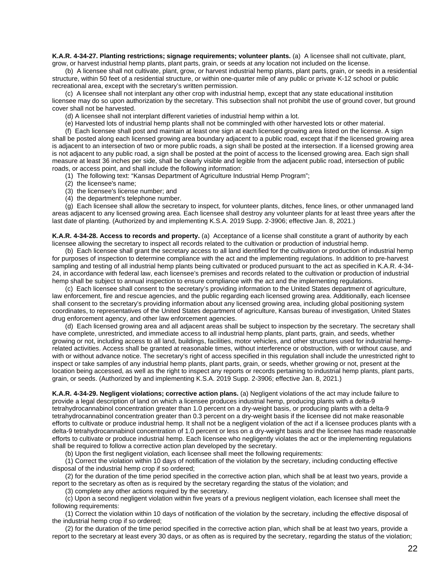**K.A.R. 4-34-27. Planting restrictions; signage requirements; volunteer plants.** (a)A licensee shall not cultivate, plant, grow, or harvest industrial hemp plants, plant parts, grain, or seeds at any location not included on the license.

(b) A licensee shall not cultivate, plant, grow, or harvest industrial hemp plants, plant parts, grain, or seeds in a residential structure, within 50 feet of a residential structure, or within one-quarter mile of any public or private K-12 school or public recreational area, except with the secretary's written permission.

(c) A licensee shall not interplant any other crop with industrial hemp, except that any state educational institution licensee may do so upon authorization by the secretary. This subsection shall not prohibit the use of ground cover, but ground cover shall not be harvested.

(d) A licensee shall not interplant different varieties of industrial hemp within a lot.

(e) Harvested lots of industrial hemp plants shall not be commingled with other harvested lots or other material.

(f) Each licensee shall post and maintain at least one sign at each licensed growing area listed on the license. A sign shall be posted along each licensed growing area boundary adjacent to a public road, except that if the licensed growing area is adjacent to an intersection of two or more public roads, a sign shall be posted at the intersection. If a licensed growing area is not adjacent to any public road, a sign shall be posted at the point of access to the licensed growing area. Each sign shall measure at least 36 inches per side, shall be clearly visible and legible from the adjacent public road, intersection of public roads, or access point, and shall include the following information:

(1) The following text: "Kansas Department of Agriculture Industrial Hemp Program";

- (2) the licensee's name;
- (3) the licensee's license number; and
- (4) the department's telephone number.

(g) Each licensee shall allow the secretary to inspect, for volunteer plants, ditches, fence lines, or other unmanaged land areas adjacent to any licensed growing area. Each licensee shall destroy any volunteer plants for at least three years after the last date of planting. (Authorized by and implementing K.S.A. 2019 Supp. 2-3906; effective Jan. 8, 2021.)

**K.A.R. 4-34-28. Access to records and property.** (a) Acceptance of a license shall constitute a grant of authority by each licensee allowing the secretary to inspect all records related to the cultivation or production of industrial hemp.

(b) Each licensee shall grant the secretary access to all land identified for the cultivation or production of industrial hemp for purposes of inspection to determine compliance with the act and the implementing regulations. In addition to pre-harvest sampling and testing of all industrial hemp plants being cultivated or produced pursuant to the act as specified in K.A.R. 4-34- 24, in accordance with federal law, each licensee's premises and records related to the cultivation or production of industrial hemp shall be subject to annual inspection to ensure compliance with the act and the implementing regulations.

(c) Each licensee shall consent to the secretary's providing information to the United States department of agriculture, law enforcement, fire and rescue agencies, and the public regarding each licensed growing area. Additionally, each licensee shall consent to the secretary's providing information about any licensed growing area, including global positioning system coordinates, to representatives of the United States department of agriculture, Kansas bureau of investigation, United States drug enforcement agency, and other law enforcement agencies.

(d) Each licensed growing area and all adjacent areas shall be subject to inspection by the secretary. The secretary shall have complete, unrestricted, and immediate access to all industrial hemp plants, plant parts, grain, and seeds, whether growing or not, including access to all land, buildings, facilities, motor vehicles, and other structures used for industrial hemprelated activities. Access shall be granted at reasonable times, without interference or obstruction, with or without cause, and with or without advance notice. The secretary's right of access specified in this regulation shall include the unrestricted right to inspect or take samples of any industrial hemp plants, plant parts, grain, or seeds, whether growing or not, present at the location being accessed, as well as the right to inspect any reports or records pertaining to industrial hemp plants, plant parts, grain, or seeds. (Authorized by and implementing K.S.A. 2019 Supp. 2-3906; effective Jan. 8, 2021.)

**K.A.R. 4-34-29. Negligent violations; corrective action plans.** (a) Negligent violations of the act may include failure to provide a legal description of land on which a licensee produces industrial hemp, producing plants with a delta-9 tetrahydrocannabinol concentration greater than 1.0 percent on a dry-weight basis, or producing plants with a delta-9 tetrahydrocannabinol concentration greater than 0.3 percent on a dry-weight basis if the licensee did not make reasonable efforts to cultivate or produce industrial hemp. It shall not be a negligent violation of the act if a licensee produces plants with a delta-9 tetrahydrocannabinol concentration of 1.0 percent or less on a dry-weight basis and the licensee has made reasonable efforts to cultivate or produce industrial hemp. Each licensee who negligently violates the act or the implementing regulations shall be required to follow a corrective action plan developed by the secretary.

(b) Upon the first negligent violation, each licensee shall meet the following requirements:

(1) Correct the violation within 10 days of notification of the violation by the secretary, including conducting effective disposal of the industrial hemp crop if so ordered;

(2) for the duration of the time period specified in the corrective action plan, which shall be at least two years, provide a report to the secretary as often as is required by the secretary regarding the status of the violation; and

(3) complete any other actions required by the secretary.

(c) Upon a second negligent violation within five years of a previous negligent violation, each licensee shall meet the following requirements:

(1) Correct the violation within 10 days of notification of the violation by the secretary, including the effective disposal of the industrial hemp crop if so ordered;

(2) for the duration of the time period specified in the corrective action plan, which shall be at least two years, provide a report to the secretary at least every 30 days, or as often as is required by the secretary, regarding the status of the violation;